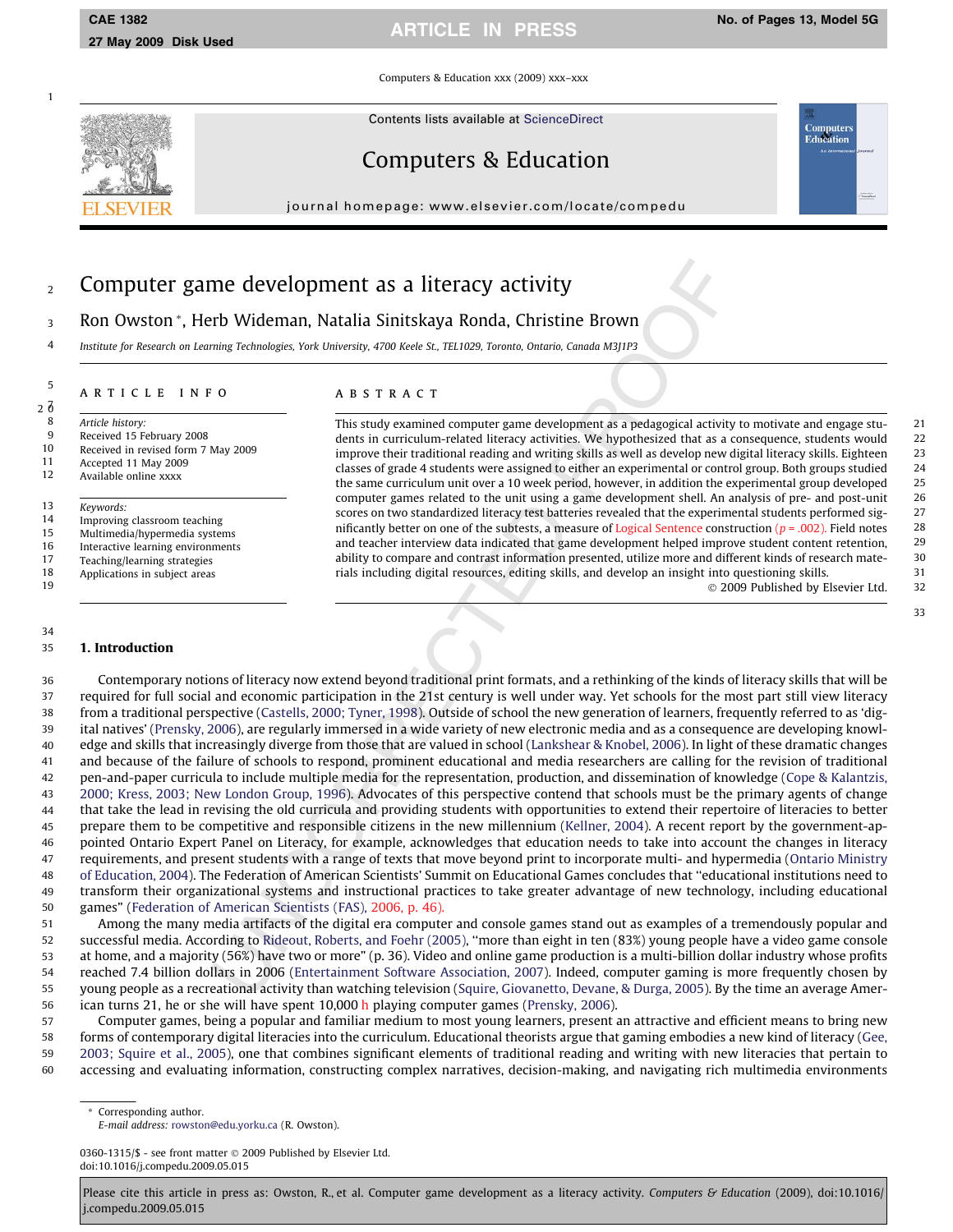**Computers**<br>**Education** 

Computers & Education xxx (2009) xxx–xxx

Contents lists available at ScienceDirect



Computers & Education

journal homepage: www.elsevier.com/locate/compedu

<sup>3</sup> Ron Owston \*, Herb Wideman, Natalia Sinitskaya Ronda, Christine Brown

4 Institute for Research on Learning Technologies, York University, 4700 Keele St., TEL1029, Toronto, Ontario, Canada M3J1P3

# article info

8 Article history:<br>9 Received 15 F 9 Received 15 February 2008<br>10 Received in revised form 7 Received in revised form 7 May 2009  $2 \delta$ 

11 Accepted 11 May 2009

12 Available online xxxx

13 Keywords:

14 Improving classroom teaching<br>15 Multimedia/hypermedia syster

15 Multimedia/hypermedia systems<br>16 Interactive learning environment

16 Interactive learning environments<br>17 Teaching/learning strategies

17 Teaching/learning strategies 18 Applications in subject areas

19

34

5<br>7

5

# 35 1. Introduction

## ABSTRACT

This study examined computer game development as a pedagogical activity to motivate and engage stu- 21 dents in curriculum-related literacy activities. We hypothesized that as a consequence, students would 22 improve their traditional reading and writing skills as well as develop new digital literacy skills. Eighteen 23 classes of grade 4 students were assigned to either an experimental or control group. Both groups studied 24 the same curriculum unit over a 10 week period, however, in addition the experimental group developed 25 computer games related to the unit using a game development shell. An analysis of pre- and post-unit 26 scores on two standardized literacy test batteries revealed that the experimental students performed sig- 27 nificantly better on one of the subtests, a measure of Logical Sentence construction ( $p = .002$ ). Field notes 28 and teacher interview data indicated that game development helped improve student content retention, 29 ability to compare and contrast information presented, utilize more and different kinds of research mate- 30 rials including digital resources, editing skills, and develop an insight into questioning skills. 31

2009 Published by Elsevier Ltd. 32

The development as a literacy activity<br>
The Wideman, Natalia Sinitskaya Ronda, Christine Brown<br>
This stehnologies. York University, 4700 Keele st., TEL1029, Toronto Ontario, Canada M9119<br>
O<br>
A B S T R A C T<br>
This structur Contemporary notions of literacy now extend beyond traditional print formats, and a rethinking of the kinds of literacy skills that will be required for full social and economic participation in the 21st century is well under way. Yet schools for the most part still view literacy from a traditional perspective (Castells, 2000; Tyner, 1998). Outside of school the new generation of learners, frequently referred to as 'dig- ital natives' (Prensky, 2006), are regularly immersed in a wide variety of new electronic media and as a consequence are developing knowl- edge and skills that increasingly diverge from those that are valued in school (Lankshear & Knobel, 2006). In light of these dramatic changes and because of the failure of schools to respond, prominent educational and media researchers are calling for the revision of traditional pen-and-paper curricula to include multiple media for the representation, production, and dissemination of knowledge (Cope & Kalantzis, 2000; Kress, 2003; New London Group, 1996). Advocates of this perspective contend that schools must be the primary agents of change that take the lead in revising the old curricula and providing students with opportunities to extend their repertoire of literacies to better prepare them to be competitive and responsible citizens in the new millennium (Kellner, 2004). A recent report by the government-ap- pointed Ontario Expert Panel on Literacy, for example, acknowledges that education needs to take into account the changes in literacy requirements, and present students with a range of texts that move beyond print to incorporate multi- and hypermedia (Ontario Ministry of Education, 2004). The Federation of American Scientists' Summit on Educational Games concludes that ''educational institutions need to transform their organizational systems and instructional practices to take greater advantage of new technology, including educational games" (Federation of American Scientists (FAS), 2006, p. 46).

 Among the many media artifacts of the digital era computer and console games stand out as examples of a tremendously popular and successful media. According to Rideout, Roberts, and Foehr (2005), ''more than eight in ten (83%) young people have a video game console at home, and a majority (56%) have two or more" (p. 36). Video and online game production is a multi-billion dollar industry whose profits reached 7.4 billion dollars in 2006 (Entertainment Software Association, 2007). Indeed, computer gaming is more frequently chosen by young people as a recreational activity than watching television (Squire, Giovanetto, Devane, & Durga, 2005). By the time an average Amer-56 ican turns 21, he or she will have spent 10,000 h playing computer games (Prensky, 2006).

 Computer games, being a popular and familiar medium to most young learners, present an attractive and efficient means to bring new forms of contemporary digital literacies into the curriculum. Educational theorists argue that gaming embodies a new kind of literacy (Gee, 2003; Squire et al., 2005), one that combines significant elements of traditional reading and writing with new literacies that pertain to accessing and evaluating information, constructing complex narratives, decision-making, and navigating rich multimedia environments

0360-1315/\$ - see front matter 2009 Published by Elsevier Ltd. \* Corresponding author.<br>E-mail address: rowston@edu.yo<br>0360-1315/\$ - see front matter © 2<br>doi:10.1016/j.compedu.2009.05.015

E-mail address: rowston@edu.yorku.ca (R. Owston).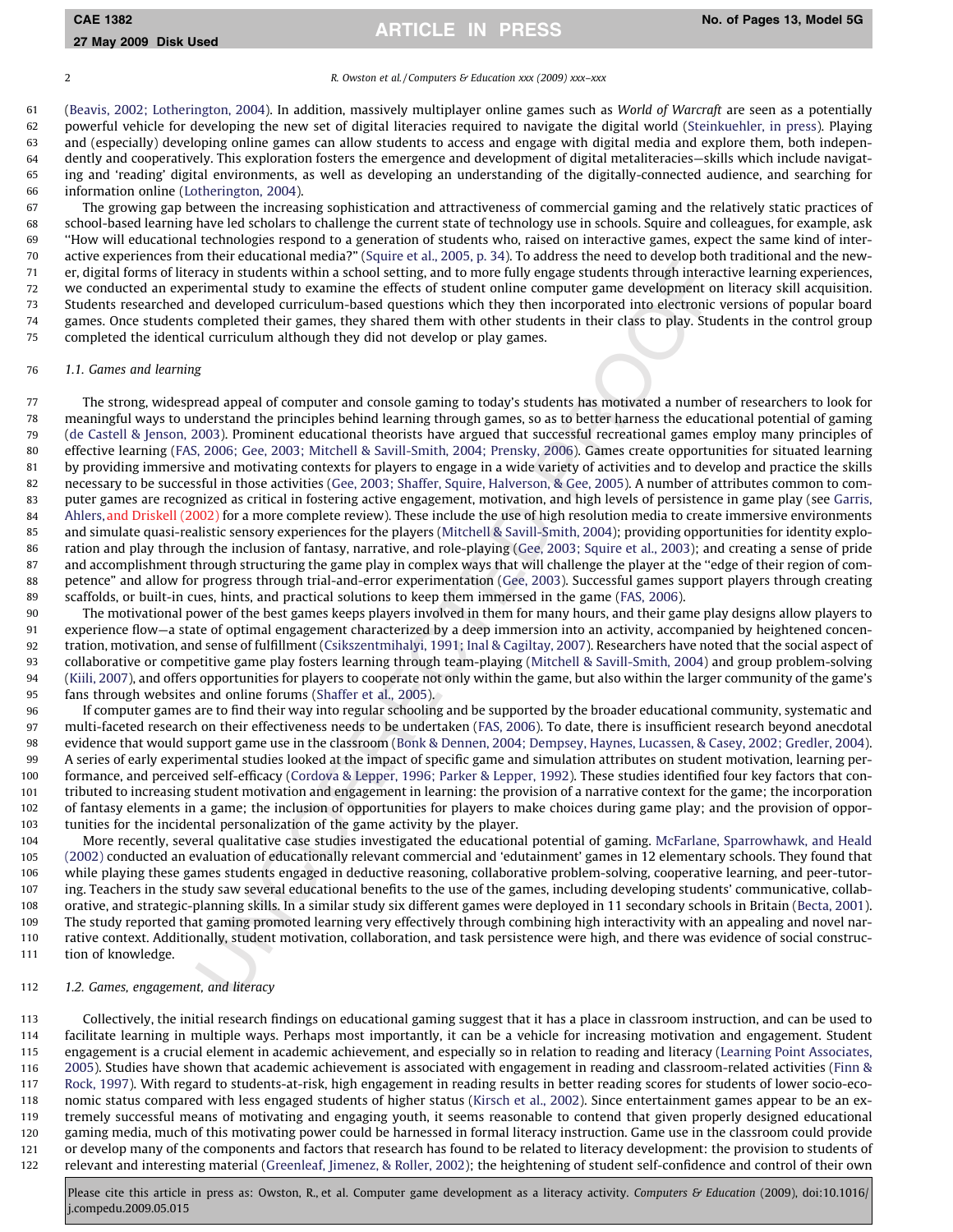(Beavis, 2002; Lotherington, 2004). In addition, massively multiplayer online games such as World of Warcraft are seen as a potentially powerful vehicle for developing the new set of digital literacies required to navigate the digital world (Steinkuehler, in press). Playing and (especially) developing online games can allow students to access and engage with digital media and explore them, both indepen- dently and cooperatively. This exploration fosters the emergence and development of digital metaliteracies—skills which include navigat- ing and 'reading' digital environments, as well as developing an understanding of the digitally-connected audience, and searching for information online (Lotherington, 2004).

 The growing gap between the increasing sophistication and attractiveness of commercial gaming and the relatively static practices of school-based learning have led scholars to challenge the current state of technology use in schools. Squire and colleagues, for example, ask ''How will educational technologies respond to a generation of students who, raised on interactive games, expect the same kind of inter- active experiences from their educational media?" (Squire et al., 2005, p. 34). To address the need to develop both traditional and the new- er, digital forms of literacy in students within a school setting, and to more fully engage students through interactive learning experiences, we conducted an experimental study to examine the effects of student online computer game development on literacy skill acquisition. Students researched and developed curriculum-based questions which they then incorporated into electronic versions of popular board games. Once students completed their games, they shared them with other students in their class to play. Students in the control group completed the identical curriculum although they did not develop or play games.

1.1. Games and learning

novi is muchas within a school setting, and to more fully engage suches though the<br>maximum strimulated with a school setting, and to more fully engage such<br>setting through the more and the more fully engage such strimulate The strong, widespread appeal of computer and console gaming to today's students has motivated a number of researchers to look for meaningful ways to understand the principles behind learning through games, so as to better harness the educational potential of gaming (de Castell & Jenson, 2003). Prominent educational theorists have argued that successful recreational games employ many principles of effective learning (FAS, 2006; Gee, 2003; Mitchell & Savill-Smith, 2004; Prensky, 2006). Games create opportunities for situated learning by providing immersive and motivating contexts for players to engage in a wide variety of activities and to develop and practice the skills necessary to be successful in those activities (Gee, 2003; Shaffer, Squire, Halverson, & Gee, 2005). A number of attributes common to com- puter games are recognized as critical in fostering active engagement, motivation, and high levels of persistence in game play (see Garris, Ahlers, and Driskell (2002) for a more complete review). These include the use of high resolution media to create immersive environments and simulate quasi-realistic sensory experiences for the players (Mitchell & Savill-Smith, 2004); providing opportunities for identity explo- ration and play through the inclusion of fantasy, narrative, and role-playing (Gee, 2003; Squire et al., 2003); and creating a sense of pride 87 and accomplishment through structuring the game play in complex ways that will challenge the player at the "edge of their region of com- petence" and allow for progress through trial-and-error experimentation (Gee, 2003). Successful games support players through creating scaffolds, or built-in cues, hints, and practical solutions to keep them immersed in the game (FAS, 2006). 122 relevant and interesting material (Greenles material (Greenles material (Greenles material (Greenles material (Greenles material (Greenles material (Greenles material (Greenles material (Greenles material (Greenles m

 The motivational power of the best games keeps players involved in them for many hours, and their game play designs allow players to experience flow—a state of optimal engagement characterized by a deep immersion into an activity, accompanied by heightened concen- tration, motivation, and sense of fulfillment (Csikszentmihalyi, 1991; Inal & Cagiltay, 2007). Researchers have noted that the social aspect of collaborative or competitive game play fosters learning through team-playing (Mitchell & Savill-Smith, 2004) and group problem-solving (Kiili, 2007), and offers opportunities for players to cooperate not only within the game, but also within the larger community of the game's fans through websites and online forums (Shaffer et al., 2005).

 If computer games are to find their way into regular schooling and be supported by the broader educational community, systematic and multi-faceted research on their effectiveness needs to be undertaken (FAS, 2006). To date, there is insufficient research beyond anecdotal evidence that would support game use in the classroom (Bonk & Dennen, 2004; Dempsey, Haynes, Lucassen, & Casey, 2002; Gredler, 2004). A series of early experimental studies looked at the impact of specific game and simulation attributes on student motivation, learning per- formance, and perceived self-efficacy (Cordova & Lepper, 1996; Parker & Lepper, 1992). These studies identified four key factors that con- tributed to increasing student motivation and engagement in learning: the provision of a narrative context for the game; the incorporation of fantasy elements in a game; the inclusion of opportunities for players to make choices during game play; and the provision of oppor-tunities for the incidental personalization of the game activity by the player.

 More recently, several qualitative case studies investigated the educational potential of gaming. McFarlane, Sparrowhawk, and Heald (2002) conducted an evaluation of educationally relevant commercial and 'edutainment' games in 12 elementary schools. They found that while playing these games students engaged in deductive reasoning, collaborative problem-solving, cooperative learning, and peer-tutor- ing. Teachers in the study saw several educational benefits to the use of the games, including developing students' communicative, collab- orative, and strategic-planning skills. In a similar study six different games were deployed in 11 secondary schools in Britain (Becta, 2001). The study reported that gaming promoted learning very effectively through combining high interactivity with an appealing and novel nar- rative context. Additionally, student motivation, collaboration, and task persistence were high, and there was evidence of social construc-tion of knowledge.

# 1.2. Games, engagement, and literacy

 Collectively, the initial research findings on educational gaming suggest that it has a place in classroom instruction, and can be used to facilitate learning in multiple ways. Perhaps most importantly, it can be a vehicle for increasing motivation and engagement. Student engagement is a crucial element in academic achievement, and especially so in relation to reading and literacy (Learning Point Associates, 2005). Studies have shown that academic achievement is associated with engagement in reading and classroom-related activities (Finn & Rock, 1997). With regard to students-at-risk, high engagement in reading results in better reading scores for students of lower socio-eco- nomic status compared with less engaged students of higher status (Kirsch et al., 2002). Since entertainment games appear to be an ex- tremely successful means of motivating and engaging youth, it seems reasonable to contend that given properly designed educational gaming media, much of this motivating power could be harnessed in formal literacy instruction. Game use in the classroom could provide 121 or develop many of the components and factors that research has found to be related to literacy development: the provision to students of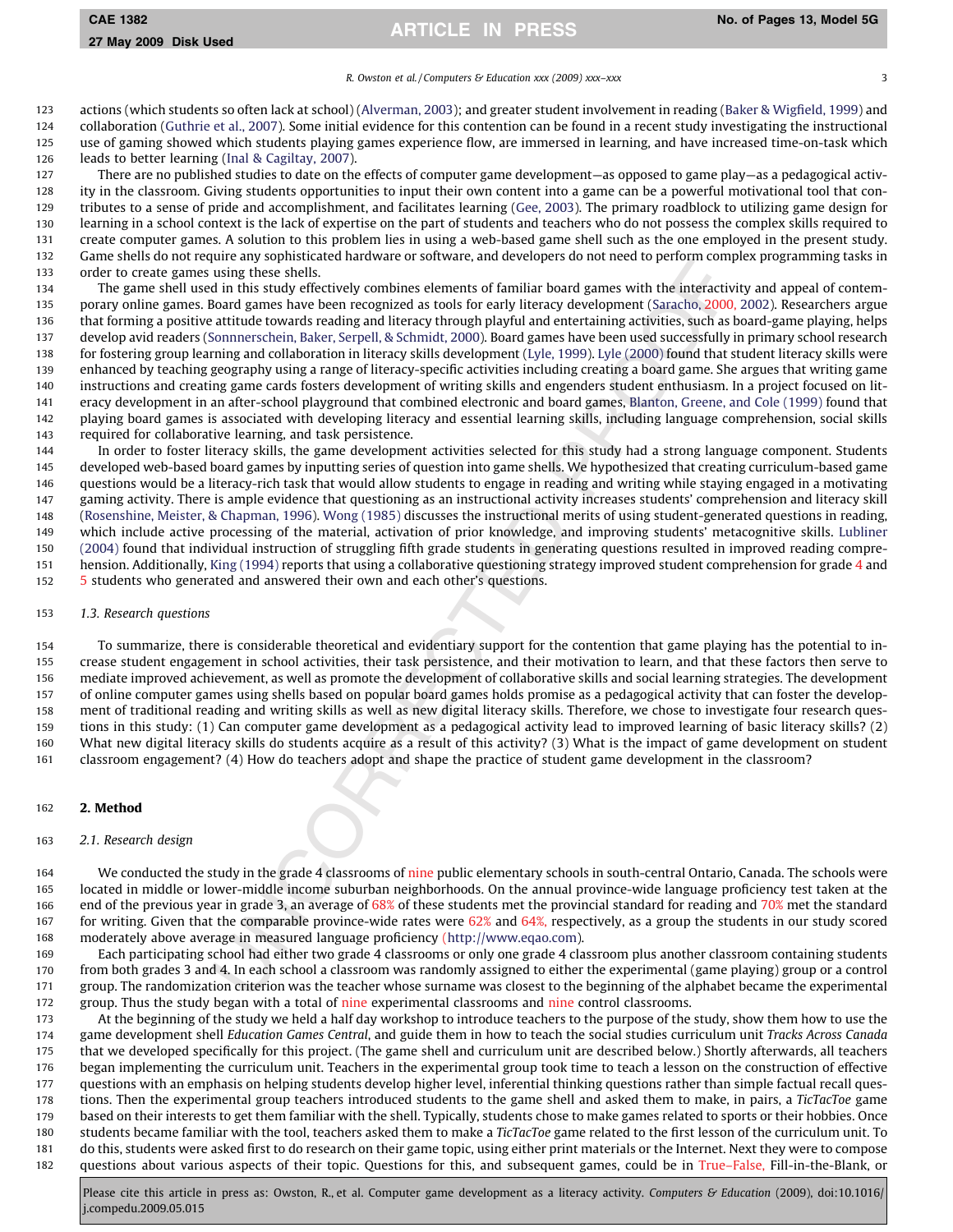### R. Owston et al./ Computers & Education xxx (2009) xxx-xxx

 actions (which students so often lack at school) (Alverman, 2003); and greater student involvement in reading (Baker & Wigfield, 1999) and collaboration (Guthrie et al., 2007). Some initial evidence for this contention can be found in a recent study investigating the instructional use of gaming showed which students playing games experience flow, are immersed in learning, and have increased time-on-task which leads to better learning (Inal & Cagiltay, 2007).

 There are no published studies to date on the effects of computer game development—as opposed to game play—as a pedagogical activ- ity in the classroom. Giving students opportunities to input their own content into a game can be a powerful motivational tool that con- tributes to a sense of pride and accomplishment, and facilitates learning (Gee, 2003). The primary roadblock to utilizing game design for learning in a school context is the lack of expertise on the part of students and teachers who do not possess the complex skills required to create computer games. A solution to this problem lies in using a web-based game shell such as the one employed in the present study. Game shells do not require any sophisticated hardware or software, and developers do not need to perform complex programming tasks in order to create games using these shells.

using these debts.<br>
units are debts. Communication and consider the particular consideration in this starty effectively combines elements of formliar barea with the interaction<br>
at in this starty defectively combines eleme The game shell used in this study effectively combines elements of familiar board games with the interactivity and appeal of contem-135 porary online games. Board games have been recognized as tools for early literacy development (Saracho, 2000, 2002). Researchers argue that forming a positive attitude towards reading and literacy through playful and entertaining activities, such as board-game playing, helps develop avid readers (Sonnnerschein, Baker, Serpell, & Schmidt, 2000). Board games have been used successfully in primary school research for fostering group learning and collaboration in literacy skills development (Lyle, 1999). Lyle (2000) found that student literacy skills were enhanced by teaching geography using a range of literacy-specific activities including creating a board game. She argues that writing game instructions and creating game cards fosters development of writing skills and engenders student enthusiasm. In a project focused on lit- eracy development in an after-school playground that combined electronic and board games, Blanton, Greene, and Cole (1999) found that playing board games is associated with developing literacy and essential learning skills, including language comprehension, social skills required for collaborative learning, and task persistence.

 In order to foster literacy skills, the game development activities selected for this study had a strong language component. Students developed web-based board games by inputting series of question into game shells. We hypothesized that creating curriculum-based game questions would be a literacy-rich task that would allow students to engage in reading and writing while staying engaged in a motivating gaming activity. There is ample evidence that questioning as an instructional activity increases students' comprehension and literacy skill (Rosenshine, Meister, & Chapman, 1996). Wong (1985) discusses the instructional merits of using student-generated questions in reading, which include active processing of the material, activation of prior knowledge, and improving students' metacognitive skills. Lubliner (2004) found that individual instruction of struggling fifth grade students in generating questions resulted in improved reading compre-151 hension. Additionally, King (1994) reports that using a collaborative questioning strategy improved student comprehension for grade 4 and students who generated and answered their own and each other's questions.

## 1.3. Research questions

 To summarize, there is considerable theoretical and evidentiary support for the contention that game playing has the potential to in- crease student engagement in school activities, their task persistence, and their motivation to learn, and that these factors then serve to mediate improved achievement, as well as promote the development of collaborative skills and social learning strategies. The development of online computer games using shells based on popular board games holds promise as a pedagogical activity that can foster the develop- ment of traditional reading and writing skills as well as new digital literacy skills. Therefore, we chose to investigate four research ques- tions in this study: (1) Can computer game development as a pedagogical activity lead to improved learning of basic literacy skills? (2) What new digital literacy skills do students acquire as a result of this activity? (3) What is the impact of game development on student classroom engagement? (4) How do teachers adopt and shape the practice of student game development in the classroom?

### 2. Method

### 2.1. Research design

164 We conducted the study in the grade 4 classrooms of nine public elementary schools in south-central Ontario, Canada. The schools were located in middle or lower-middle income suburban neighborhoods. On the annual province-wide language proficiency test taken at the 166 end of the previous year in grade 3, an average of 68% of these students met the provincial standard for reading and 70% met the standard 167 for writing. Given that the comparable province-wide rates were 62% and 64%, respectively, as a group the students in our study scored moderately above average in measured language proficiency (http://www.eqao.com).

 Each participating school had either two grade 4 classrooms or only one grade 4 classroom plus another classroom containing students from both grades 3 and 4. In each school a classroom was randomly assigned to either the experimental (game playing) group or a control group. The randomization criterion was the teacher whose surname was closest to the beginning of the alphabet became the experimental 172 group. Thus the study began with a total of nine experimental classrooms and nine control classrooms.

173 At the beginning of the study we held a half day workshop to introduce teachers to the purpose of the study, show them how to use the 174 game development shell Education Games Central, and guide them in how to teach the social studies curriculum unit Tracks Across Canada that we developed specifically for this project. (The game shell and curriculum unit are described below.) Shortly afterwards, all teachers began implementing the curriculum unit. Teachers in the experimental group took time to teach a lesson on the construction of effective 177 questions with an emphasis on helping students develop higher level, inferential thinking questions rather than simple factual recall ques-178 tions. Then the experimental group teachers introduced students to the game shell and asked them to make, in pairs, a TicTacToe game based on their interests to get them familiar with the shell. Typically, students chose to make games related to sports or their hobbies. Once 180 students became familiar with the tool, teachers asked them to make a TicTacToe game related to the first lesson of the curriculum unit. To do this, students were asked first to do research on their game topic, using either print materials or the Internet. Next they were to compose 182 questions about various aspects of their topic. Questions for this, and subsequent games, could be in True–False, Fill-in-the-Blank, or

Please cite this article in press as: Owston, R., et al. Computer game development as a literacy activity. Computers & Education (2009), doi:10.1016/ j.compedu.2009.05.015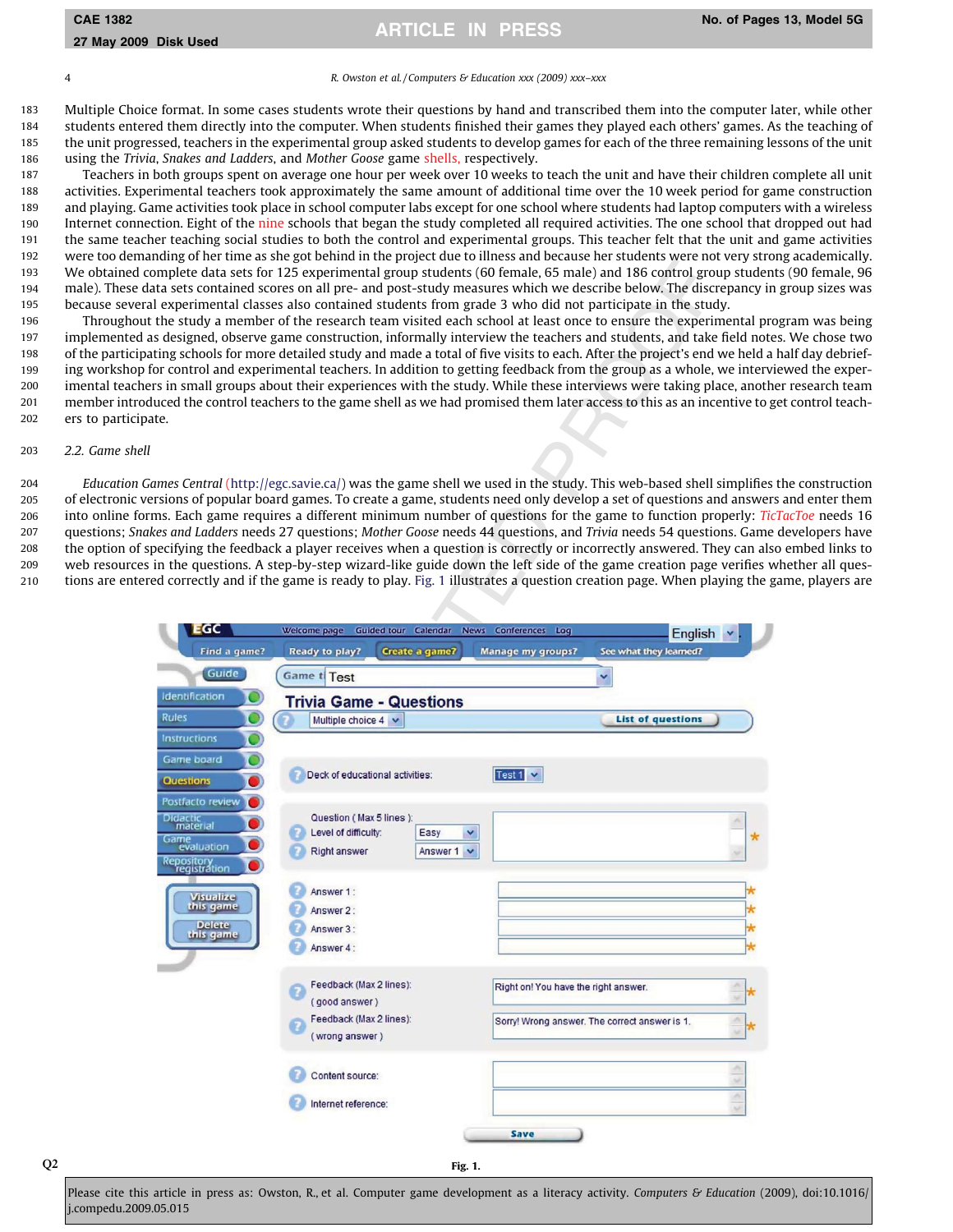Multiple Choice format. In some cases students wrote their questions by hand and transcribed them into the computer later, while other students entered them directly into the computer. When students finished their games they played each others' games. As the teaching of the unit progressed, teachers in the experimental group asked students to develop games for each of the three remaining lessons of the unit 186 using the Trivia, Snakes and Ladders, and Mother Goose game shells, respectively.

 Teachers in both groups spent on average one hour per week over 10 weeks to teach the unit and have their children complete all unit activities. Experimental teachers took approximately the same amount of additional time over the 10 week period for game construction and playing. Game activities took place in school computer labs except for one school where students had laptop computers with a wireless 190 Internet connection. Eight of the nine schools that began the study completed all required activities. The one school that dropped out had the same teacher teaching social studies to both the control and experimental groups. This teacher felt that the unit and game activities were too demanding of her time as she got behind in the project due to illness and because her students were not very strong academically. We obtained complete data sets for 125 experimental group students (60 female, 65 male) and 186 control group students (90 female, 96 male). These data sets contained scores on all pre- and post-study measures which we describe below. The discrepancy in group sizes was because several experimental classes also contained students from grade 3 who did not participate in the study.

 Throughout the study a member of the research team visited each school at least once to ensure the experimental program was being implemented as designed, observe game construction, informally interview the teachers and students, and take field notes. We chose two of the participating schools for more detailed study and made a total of five visits to each. After the project's end we held a half day debrief- ing workshop for control and experimental teachers. In addition to getting feedback from the group as a whole, we interviewed the exper- imental teachers in small groups about their experiences with the study. While these interviews were taking place, another research team member introduced the control teachers to the game shell as we had promised them later access to this as an incentive to get control teach-ers to participate.

## 2.2. Game shell

*Education Games Central* (http://egc.savie.ca/) was the game shell we used in the study. This web-based shell simplifies the construction of electronic versions of popular board games. To create a game, students need only develop a set of questions and answers and enter them 206 into online forms. Each game requires a different minimum number of questions for the game to function properly: TicTacToe needs 16 207 questions; Snakes and Ladders needs 27 questions; Mother Goose needs 44 questions, and Trivia needs 54 questions. Game developers have the option of specifying the feedback a player receives when a question is correctly or incorrectly answered. They can also embed links to web resources in the questions. A step-by-step wizard-like guide down the left side of the game creation page verifies whether all ques-tions are entered correctly and if the game is ready to play. Fig. 1 illustrates a question creation page. When playing the game, players are

| 4               |                                                                                                                                                                                  | R. Owston et al. / Computers & Education xxx (2009) xxx-xxx                                                                                                                                        |                                                                                                                                                                                                                                                                                                                                                                                                                                                                                                                                                                                                                                                                                                                                                                                                                                                                                                                                                                                                                                                                                                                                                                                                                                                                                                                                                                                                                                                                                                                                                                                                                                                                                                                                                                                                                                                                                                                                                                                                                                                                                                                                                                                                                                                                                    |         |
|-----------------|----------------------------------------------------------------------------------------------------------------------------------------------------------------------------------|----------------------------------------------------------------------------------------------------------------------------------------------------------------------------------------------------|------------------------------------------------------------------------------------------------------------------------------------------------------------------------------------------------------------------------------------------------------------------------------------------------------------------------------------------------------------------------------------------------------------------------------------------------------------------------------------------------------------------------------------------------------------------------------------------------------------------------------------------------------------------------------------------------------------------------------------------------------------------------------------------------------------------------------------------------------------------------------------------------------------------------------------------------------------------------------------------------------------------------------------------------------------------------------------------------------------------------------------------------------------------------------------------------------------------------------------------------------------------------------------------------------------------------------------------------------------------------------------------------------------------------------------------------------------------------------------------------------------------------------------------------------------------------------------------------------------------------------------------------------------------------------------------------------------------------------------------------------------------------------------------------------------------------------------------------------------------------------------------------------------------------------------------------------------------------------------------------------------------------------------------------------------------------------------------------------------------------------------------------------------------------------------------------------------------------------------------------------------------------------------|---------|
|                 | ers to participate.                                                                                                                                                              | using the Trivia, Snakes and Ladders, and Mother Goose game shells, respectively.                                                                                                                  | Multiple Choice format. In some cases students wrote their questions by hand and transcribed them into the computer<br>students entered them directly into the computer. When students finished their games they played each others' games.<br>the unit progressed, teachers in the experimental group asked students to develop games for each of the three remaining b<br>Teachers in both groups spent on average one hour per week over 10 weeks to teach the unit and have their children<br>activities. Experimental teachers took approximately the same amount of additional time over the 10 week period for g<br>and playing. Game activities took place in school computer labs except for one school where students had laptop compute<br>Internet connection. Eight of the nine schools that began the study completed all required activities. The one school that<br>the same teacher teaching social studies to both the control and experimental groups. This teacher felt that the unit ar<br>were too demanding of her time as she got behind in the project due to illness and because her students were not very str<br>We obtained complete data sets for 125 experimental group students (60 female, 65 male) and 186 control group stude<br>male). These data sets contained scores on all pre- and post-study measures which we describe below. The discrepancy i<br>because several experimental classes also contained students from grade 3 who did not participate in the study.<br>Throughout the study a member of the research team visited each school at least once to ensure the experimental pr<br>implemented as designed, observe game construction, informally interview the teachers and students, and take field not<br>of the participating schools for more detailed study and made a total of five visits to each. After the project's end we held a<br>ing workshop for control and experimental teachers. In addition to getting feedback from the group as a whole, we inter<br>imental teachers in small groups about their experiences with the study. While these interviews were taking place, anot<br>member introduced the control teachers to the game shell as we had promised them later access to this as an incentive to |         |
| 2.2. Game shell |                                                                                                                                                                                  |                                                                                                                                                                                                    |                                                                                                                                                                                                                                                                                                                                                                                                                                                                                                                                                                                                                                                                                                                                                                                                                                                                                                                                                                                                                                                                                                                                                                                                                                                                                                                                                                                                                                                                                                                                                                                                                                                                                                                                                                                                                                                                                                                                                                                                                                                                                                                                                                                                                                                                                    |         |
|                 | EGC<br>Find a game?                                                                                                                                                              | Welcome page<br>Guided tour Calendar<br><b>News</b><br><b>Ready to play?</b><br>Create a game?                                                                                                     | into online forms. Each game requires a different minimum number of questions for the game to function properly: $T_1$<br>questions; Snakes and Ladders needs 27 questions; Mother Goose needs 44 questions, and Trivia needs 54 questions. Gam<br>the option of specifying the feedback a player receives when a question is correctly or incorrectly answered. They can al<br>web resources in the questions. A step-by-step wizard-like guide down the left side of the game creation page verifies<br>tions are entered correctly and if the game is ready to play. Fig. 1 illustrates a question creation page. When playing the<br><b>Conferences</b><br>Log<br>English<br><b>Manage my groups?</b><br>See what they learned?                                                                                                                                                                                                                                                                                                                                                                                                                                                                                                                                                                                                                                                                                                                                                                                                                                                                                                                                                                                                                                                                                                                                                                                                                                                                                                                                                                                                                                                                                                                                                |         |
|                 | Guide                                                                                                                                                                            | <b>Game ti Test</b>                                                                                                                                                                                |                                                                                                                                                                                                                                                                                                                                                                                                                                                                                                                                                                                                                                                                                                                                                                                                                                                                                                                                                                                                                                                                                                                                                                                                                                                                                                                                                                                                                                                                                                                                                                                                                                                                                                                                                                                                                                                                                                                                                                                                                                                                                                                                                                                                                                                                                    |         |
|                 | <b>Identification</b><br><b>Rules</b><br>Instructions<br>Game board<br>Questions<br>Postfacto review<br>Didactic<br>material<br>Game<br>evaluation<br>Repository<br>registration | <b>Trivia Game - Questions</b><br>Multiple choice $4 \vee$<br>Deck of educational activities:<br>Question (Max 5 lines):<br>Easy<br>Level of difficulty:<br>v<br><b>Right answer</b><br>Answer 1 v | <b>List of questions</b><br>$Test 1$ $\vee$                                                                                                                                                                                                                                                                                                                                                                                                                                                                                                                                                                                                                                                                                                                                                                                                                                                                                                                                                                                                                                                                                                                                                                                                                                                                                                                                                                                                                                                                                                                                                                                                                                                                                                                                                                                                                                                                                                                                                                                                                                                                                                                                                                                                                                        | $\star$ |
|                 | <b>Visualize</b><br>this game<br><b>Delete</b><br>this game                                                                                                                      | Answer 1:<br>Answer 2:<br>Answer 3:<br>Answer 4:                                                                                                                                                   |                                                                                                                                                                                                                                                                                                                                                                                                                                                                                                                                                                                                                                                                                                                                                                                                                                                                                                                                                                                                                                                                                                                                                                                                                                                                                                                                                                                                                                                                                                                                                                                                                                                                                                                                                                                                                                                                                                                                                                                                                                                                                                                                                                                                                                                                                    |         |
|                 |                                                                                                                                                                                  | Feedback (Max 2 lines):<br>(good answer)<br>Feedback (Max 2 lines):<br>(wrong answer)                                                                                                              | Right on! You have the right answer.<br>Sorry! Wrong answer. The correct answer is 1.                                                                                                                                                                                                                                                                                                                                                                                                                                                                                                                                                                                                                                                                                                                                                                                                                                                                                                                                                                                                                                                                                                                                                                                                                                                                                                                                                                                                                                                                                                                                                                                                                                                                                                                                                                                                                                                                                                                                                                                                                                                                                                                                                                                              | w       |
|                 |                                                                                                                                                                                  | Content source:<br>Internet reference:                                                                                                                                                             | Save                                                                                                                                                                                                                                                                                                                                                                                                                                                                                                                                                                                                                                                                                                                                                                                                                                                                                                                                                                                                                                                                                                                                                                                                                                                                                                                                                                                                                                                                                                                                                                                                                                                                                                                                                                                                                                                                                                                                                                                                                                                                                                                                                                                                                                                                               | n       |
|                 |                                                                                                                                                                                  |                                                                                                                                                                                                    |                                                                                                                                                                                                                                                                                                                                                                                                                                                                                                                                                                                                                                                                                                                                                                                                                                                                                                                                                                                                                                                                                                                                                                                                                                                                                                                                                                                                                                                                                                                                                                                                                                                                                                                                                                                                                                                                                                                                                                                                                                                                                                                                                                                                                                                                                    |         |
| Q2              |                                                                                                                                                                                  | Fig. 1.                                                                                                                                                                                            |                                                                                                                                                                                                                                                                                                                                                                                                                                                                                                                                                                                                                                                                                                                                                                                                                                                                                                                                                                                                                                                                                                                                                                                                                                                                                                                                                                                                                                                                                                                                                                                                                                                                                                                                                                                                                                                                                                                                                                                                                                                                                                                                                                                                                                                                                    |         |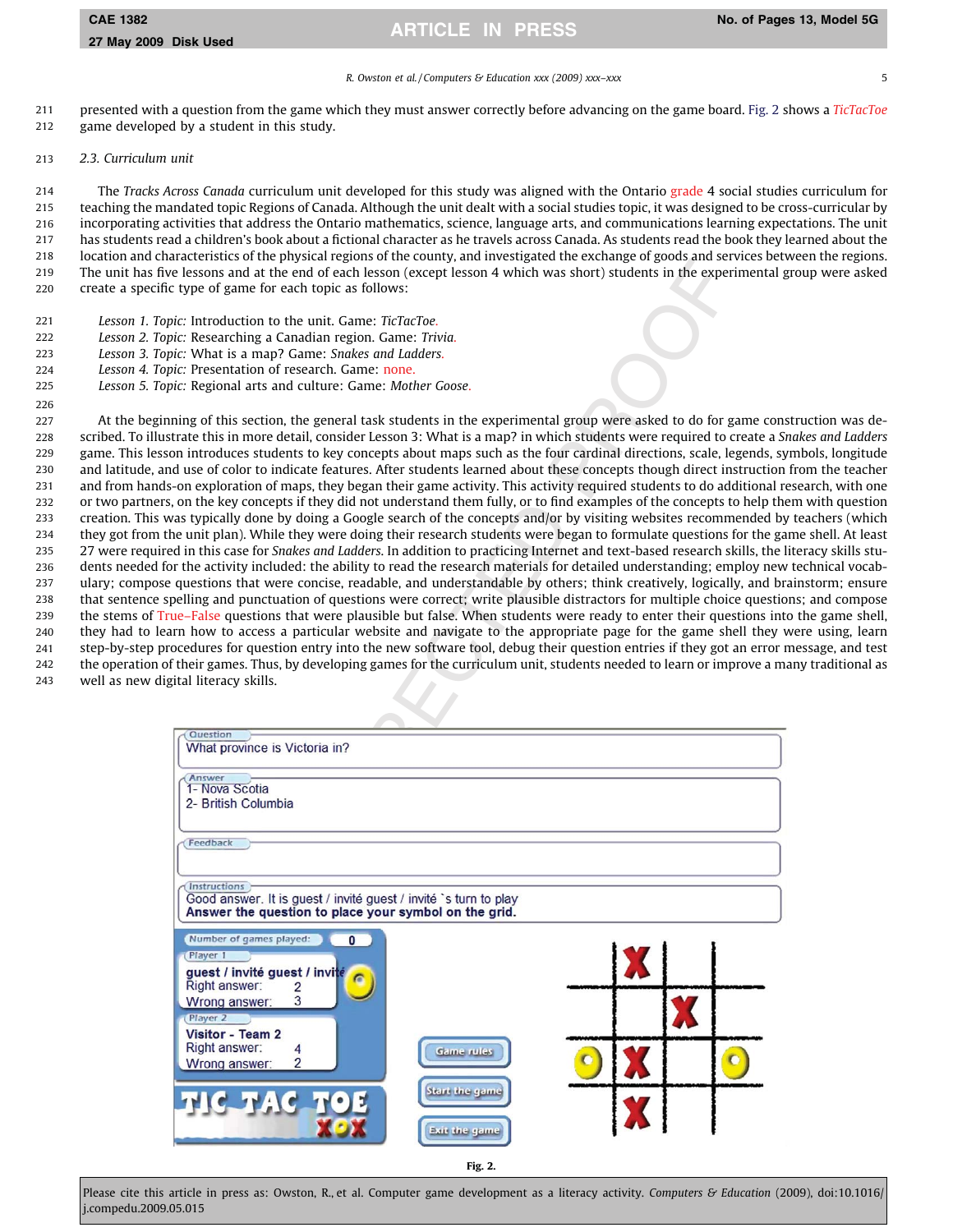### R. Owston et al./ Computers & Education xxx (2009) xxx-xxx

211 presented with a question from the game which they must answer correctly before advancing on the game board. Fig. 2 shows a TicTacToe game developed by a student in this study.

# 2.3. Curriculum unit

214 The Tracks Across Canada curriculum unit developed for this study was aligned with the Ontario grade 4 social studies curriculum for teaching the mandated topic Regions of Canada. Although the unit dealt with a social studies topic, it was designed to be cross-curricular by incorporating activities that address the Ontario mathematics, science, language arts, and communications learning expectations. The unit has students read a children's book about a fictional character as he travels across Canada. As students read the book they learned about the location and characteristics of the physical regions of the county, and investigated the exchange of goods and services between the regions. The unit has five lessons and at the end of each lesson (except lesson 4 which was short) students in the experimental group were asked create a specific type of game for each topic as follows:

- 221 Lesson 1. Topic: Introduction to the unit. Game: TicTacToe.
- Lesson 2. Topic: Researching a Canadian region. Game: Trivia .
- Lesson 3. Topic: What is a map? Game: Snakes and Ladders .
- 224 Lesson 4. Topic: Presentation of research. Game: none.
- Lesson 5. Topic: Regional arts and culture: Game: Mother Goose .

 At the beginning of this section, the general task students in the experimental group were asked to do for game construction was de-228 scribed. To illustrate this in more detail, consider Lesson 3: What is a map? in which students were required to create a Snakes and Ladders game. This lesson introduces students to key concepts about maps such as the four cardinal directions, scale, legends, symbols, longitude and latitude, and use of color to indicate features. After students learned about these concepts though direct instruction from the teacher and from hands-on exploration of maps, they began their game activity. This activity required students to do additional research, with one or two partners, on the key concepts if they did not understand them fully, or to find examples of the concepts to help them with question creation. This was typically done by doing a Google search of the concepts and/or by visiting websites recommended by teachers (which they got from the unit plan). While they were doing their research students were began to formulate questions for the game shell. At least 235 235 27 were required in this case for Snakes and Ladders. In addition to practicing Internet and text-based research skills, the literacy skills stu- dents needed for the activity included: the ability to read the research materials for detailed understanding; employ new technical vocab- ulary; compose questions that were concise, readable, and understandable by others; think creatively, logically, and brainstorm; ensure that sentence spelling and punctuation of questions were correct; write plausible distractors for multiple choice questions; and compose the stems of True–False questions that were plausible but false. When students were ready to enter their questions into the game shell, they had to learn how to access a particular website and navigate to the appropriate page for the game shell they were using, learn step-by-step procedures for question entry into the new software tool, debug their question entries if they got an error message, and test the operation of their games. Thus, by developing games for the curriculum unit, students needed to learn or improve a many traditional as well as new digital literacy skills.



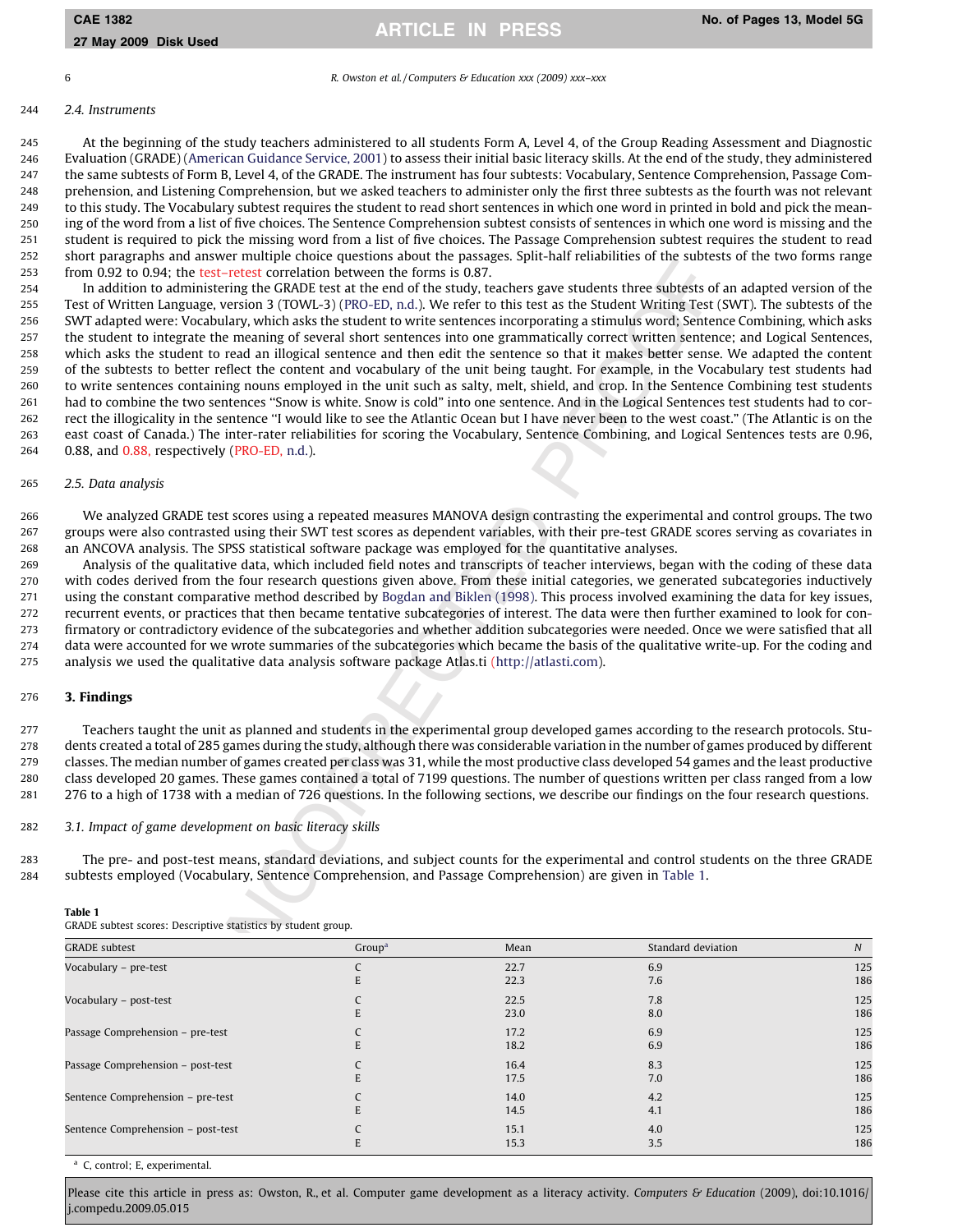### R. Owston et al. / Computers & Education xxx (2009) xxx–xxx

# 2.4. Instruments

 At the beginning of the study teachers administered to all students Form A, Level 4, of the Group Reading Assessment and Diagnostic Evaluation (GRADE) (American Guidance Service, 2001) to assess their initial basic literacy skills. At the end of the study, they administered the same subtests of Form B, Level 4, of the GRADE. The instrument has four subtests: Vocabulary, Sentence Comprehension, Passage Com- prehension, and Listening Comprehension, but we asked teachers to administer only the first three subtests as the fourth was not relevant to this study. The Vocabulary subtest requires the student to read short sentences in which one word in printed in bold and pick the mean- ing of the word from a list of five choices. The Sentence Comprehension subtest consists of sentences in which one word is missing and the student is required to pick the missing word from a list of five choices. The Passage Comprehension subtest requires the student to read short paragraphs and answer multiple choice questions about the passages. Split-half reliabilities of the subtests of the two forms range 253 from 0.92 to 0.94; the test-retest correlation between the forms is 0.87.

test-test correlation between the tomas in 087,6% - you munit contounts of one consideration between the conduction stating the CRAME test at the end of the study, teachers gave students three substats of the stating the C In addition to administering the GRADE test at the end of the study, teachers gave students three subtests of an adapted version of the Test of Written Language, version 3 (TOWL-3) (PRO-ED, n.d.). We refer to this test as the Student Writing Test (SWT). The subtests of the SWT adapted were: Vocabulary, which asks the student to write sentences incorporating a stimulus word; Sentence Combining, which asks the student to integrate the meaning of several short sentences into one grammatically correct written sentence; and Logical Sentences, which asks the student to read an illogical sentence and then edit the sentence so that it makes better sense. We adapted the content of the subtests to better reflect the content and vocabulary of the unit being taught. For example, in the Vocabulary test students had to write sentences containing nouns employed in the unit such as salty, melt, shield, and crop. In the Sentence Combining test students had to combine the two sentences ''Snow is white. Snow is cold" into one sentence. And in the Logical Sentences test students had to cor- rect the illogicality in the sentence ''I would like to see the Atlantic Ocean but I have never been to the west coast." (The Atlantic is on the east coast of Canada.) The inter-rater reliabilities for scoring the Vocabulary, Sentence Combining, and Logical Sentences tests are 0.96, 0.88, and 0.88, respectively (PRO-ED, n.d.).

## 2.5. Data analysis

 We analyzed GRADE test scores using a repeated measures MANOVA design contrasting the experimental and control groups. The two groups were also contrasted using their SWT test scores as dependent variables, with their pre-test GRADE scores serving as covariates in an ANCOVA analysis. The SPSS statistical software package was employed for the quantitative analyses.

 Analysis of the qualitative data, which included field notes and transcripts of teacher interviews, began with the coding of these data with codes derived from the four research questions given above. From these initial categories, we generated subcategories inductively using the constant comparative method described by Bogdan and Biklen (1998). This process involved examining the data for key issues, recurrent events, or practices that then became tentative subcategories of interest. The data were then further examined to look for con- firmatory or contradictory evidence of the subcategories and whether addition subcategories were needed. Once we were satisfied that all data were accounted for we wrote summaries of the subcategories which became the basis of the qualitative write-up. For the coding and analysis we used the qualitative data analysis software package Atlas.ti (http://atlasti.com).

# 3. Findings

 Teachers taught the unit as planned and students in the experimental group developed games according to the research protocols. Stu- dents created a total of 285 games during the study, although there was considerable variation in the number of games produced by different classes. The median number of games created per class was 31, while the most productive class developed 54 games and the least productive class developed 20 games. These games contained a total of 7199 questions. The number of questions written per class ranged from a low 276 to a high of 1738 with a median of 726 questions. In the following sections, we describe our findings on the four research questions.

3.1. Impact of game development on basic literacy skills

 The pre- and post-test means, standard deviations, and subject counts for the experimental and control students on the three GRADE subtests employed (Vocabulary, Sentence Comprehension, and Passage Comprehension) are given in Table 1 .

GRADE subtest scores: Descriptive statistics by student group.

| <b>GRADE</b> subtest               | Group <sup>a</sup> | Mean | Standard deviation | N   |
|------------------------------------|--------------------|------|--------------------|-----|
| Vocabulary - pre-test              |                    | 22.7 | 6.9                | 125 |
|                                    |                    | 22.3 | 7.6                | 186 |
| Vocabulary – post-test             |                    | 22.5 | 7.8                | 125 |
|                                    |                    | 23.0 | 8.0                | 186 |
| Passage Comprehension – pre-test   |                    | 17.2 | 6.9                | 125 |
|                                    |                    | 18.2 | 6.9                | 186 |
| Passage Comprehension – post-test  |                    | 16.4 | 8.3                | 125 |
|                                    |                    | 17.5 | 7.0                | 186 |
| Sentence Comprehension - pre-test  |                    | 14.0 | 4.2                | 125 |
|                                    |                    | 14.5 | 4.1                | 186 |
| Sentence Comprehension - post-test |                    | 15.1 | 4.0                | 125 |
|                                    |                    | 15.3 | 3.5                | 186 |

<sup>a</sup> C, control; E, experimental.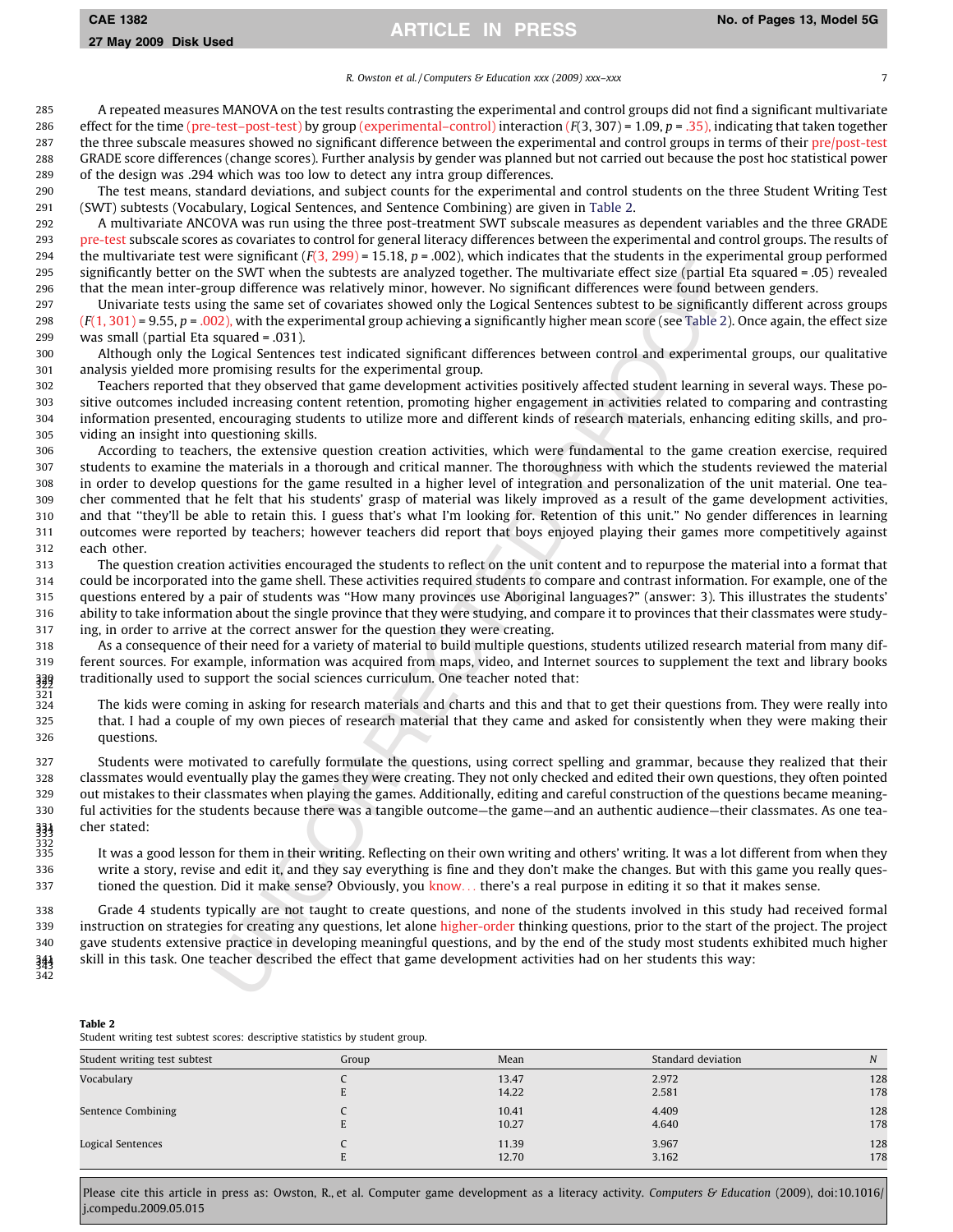332<br>335

<sup>343</sup> <sup>344</sup>

# R. Owston et al./ Computers & Education xxx (2009) xxx-xxx

 A repeated measures MANOVA on the test results contrasting the experimental and control groups did not find a significant multivariate 286 effect for the time (pre-test–post-test) by group (experimental–control) interaction ( $F(3, 307) = 1.09$ ,  $p = .35$ ), indicating that taken together the three subscale measures showed no significant difference between the experimental and control groups in terms of their pre/post-test GRADE score differences (change scores). Further analysis by gender was planned but not carried out because the post hoc statistical power of the design was .294 which was too low to detect any intra group differences.

 The test means, standard deviations, and subject counts for the experimental and control students on the three Student Writing Test (SWT) subtests (Vocabulary, Logical Sentences, and Sentence Combining) are given in Table 2 .

 A multivariate ANCOVA was run using the three post-treatment SWT subscale measures as dependent variables and the three GRADE 293 pre-test subscale scores as covariates to control for general literacy differences between the experimental and control groups. The results of 294 the multivariate test were significant ( $F(3, 299)$  = 15.18,  $p$  = .002), which indicates that the students in the experimental group performed significantly better on the SWT when the subtests are analyzed together. The multivariate effect size (partial Eta squared = .05) revealed that the mean inter-group difference was relatively minor, however. No significant differences were found between genders.

 Univariate tests using the same set of covariates showed only the Logical Sentences subtest to be significantly different across groups  $(F(1, 301) = 9.55, p = .002)$ , with the experimental group achieving a significantly higher mean score (see Table 2). Once again, the effect size 299 was small (partial Eta squared  $= .031$ ).

 Although only the Logical Sentences test indicated significant differences between control and experimental groups, our qualitative analysis yielded more promising results for the experimental group.

 Teachers reported that they observed that game development activities positively affected student learning in several ways. These po- sitive outcomes included increasing content retention, promoting higher engagement in activities related to comparing and contrasting information presented, encouraging students to utilize more and different kinds of research materials, enhancing editing skills, and pro-viding an insight into questioning skills.

the SWT when the sabtests are a nabyted forest transmitterial to the SWT and the SWT when the SWT when the same statistic are same and information and information and information and the SWT when the same set of covariate According to teachers, the extensive question creation activities, which were fundamental to the game creation exercise, required students to examine the materials in a thorough and critical manner. The thoroughness with which the students reviewed the material in order to develop questions for the game resulted in a higher level of integration and personalization of the unit material. One tea- cher commented that he felt that his students' grasp of material was likely improved as a result of the game development activities, and that ''they'll be able to retain this. I guess that's what I'm looking for. Retention of this unit." No gender differences in learning outcomes were reported by teachers; however teachers did report that boys enjoyed playing their games more competitively against each other.

 The question creation activities encouraged the students to reflect on the unit content and to repurpose the material into a format that could be incorporated into the game shell. These activities required students to compare and contrast information. For example, one of the questions entered by a pair of students was ''How many provinces use Aboriginal languages?" (answer: 3). This illustrates the students' ability to take information about the single province that they were studying, and compare it to provinces that their classmates were study-ing, in order to arrive at the correct answer for the question they were creating.

 As a consequence of their need for a variety of material to build multiple questions, students utilized research material from many dif- ferent sources. For example, information was acquired from maps, video, and Internet sources to supplement the text and library books traditionally used to support the social sciences curriculum. One teacher noted that: 

The kids were coming in asking for research materials and charts and this and that to get their questions from. They were really into that. I had a couple of my own pieces of research material that they came and asked for consistently when they were making their questions.

 Students were motivated to carefully formulate the questions, using correct spelling and grammar, because they realized that their classmates would eventually play the games they were creating. They not only checked and edited their own questions, they often pointed out mistakes to their classmates when playing the games. Additionally, editing and careful construction of the questions became meaning- ful activities for the students because there was a tangible outcome—the game—and an authentic audience—their classmates. As one teacher stated: <sup>334</sup>

It was a good lesson for them in their writing. Reflecting on their own writing and others' writing. It was a lot different from when they write a story, revise and edit it, and they say everything is fine and they don't make the changes. But with this game you really ques-337 tioned the question. Did it make sense? Obviously, you know... there's a real purpose in editing it so that it makes sense.

 Grade 4 students typically are not taught to create questions, and none of the students involved in this study had received formal 339 instruction on strategies for creating any questions, let alone higher-order thinking questions, prior to the start of the project. The project gave students extensive practice in developing meaningful questions, and by the end of the study most students exhibited much higher skill in this task. One teacher described the effect that game development activities had on her students this way:

# Table 2

Student writing test subtest scores: descriptive statistics by student group.

| Student writing test subtest | Group | Mean  | Standard deviation |     |
|------------------------------|-------|-------|--------------------|-----|
| Vocabulary                   |       | 13.47 | 2.972              | 128 |
|                              | ı.    | 14.22 | 2.581              | 178 |
| Sentence Combining           |       | 10.41 | 4.409              | 128 |
|                              | r.    | 10.27 | 4.640              | 178 |
| Logical Sentences            |       | 11.39 | 3.967              | 128 |
|                              | ı.    | 12.70 | 3.162              | 178 |

Please cite this article in press as: Owston, R., et al. Computer game development as a literacy activity. Computers & Education (2009), doi:10.1016/ j.compedu.2009.05.015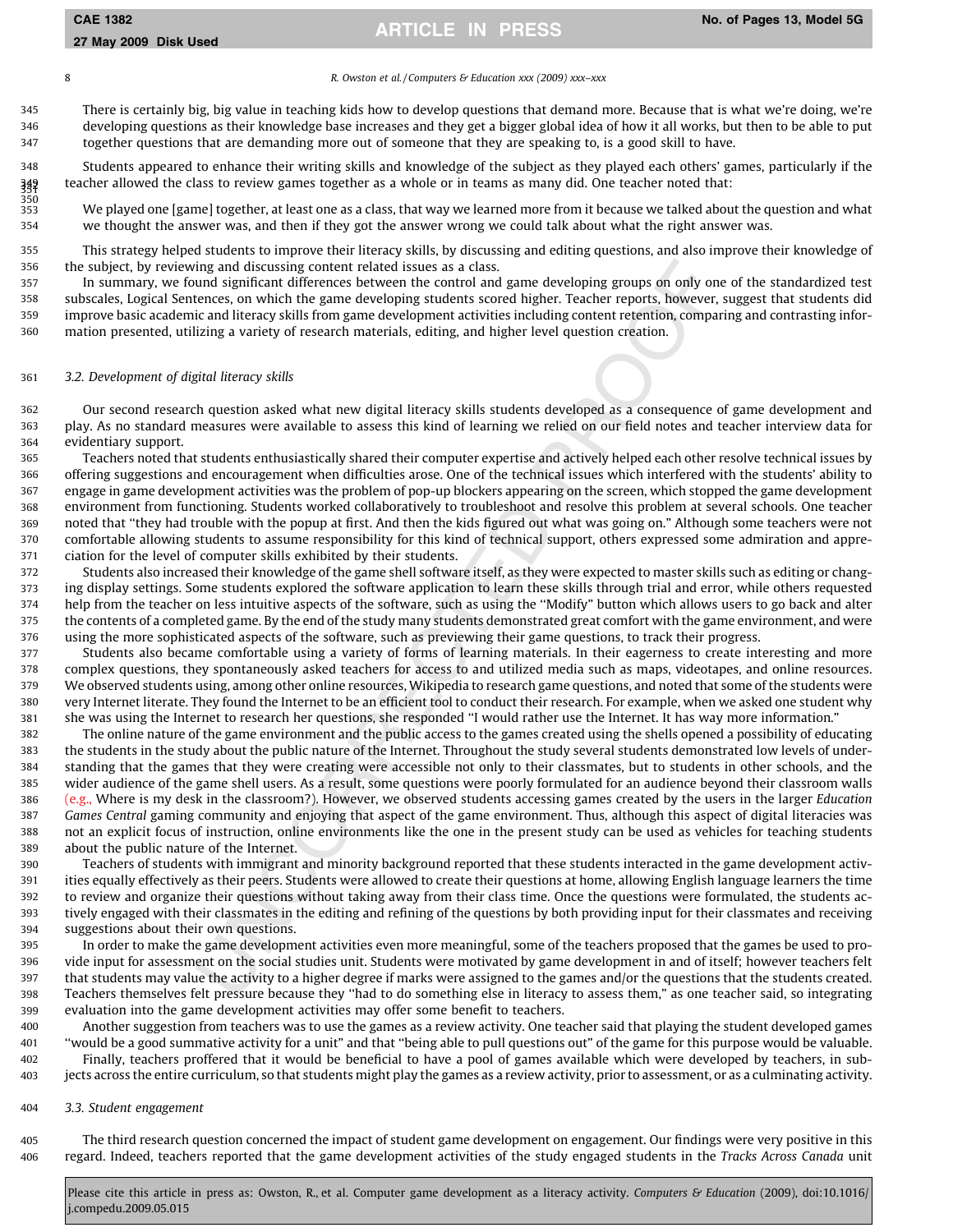There is certainly big, big value in teaching kids how to develop questions that demand more. Because that is what we're doing, we're developing questions as their knowledge base increases and they get a bigger global idea of how it all works, but then to be able to put together questions that are demanding more out of someone that they are speaking to, is a good skill to have.

 Students appeared to enhance their writing skills and knowledge of the subject as they played each others' games, particularly if the teacher allowed the class to review games together as a whole or in teams as many did. One teacher noted that: 

350<br>353 We played one [game] together, at least one as a class, that way we learned more from it because we talked about the question and what we thought the answer was, and then if they got the answer wrong we could talk about what the right answer was.

 This strategy helped students to improve their literacy skills, by discussing and editing questions, and also improve their knowledge of the subject, by reviewing and discussing content related issues as a class.

 In summary, we found significant differences between the control and game developing groups on only one of the standardized test subscales, Logical Sentences, on which the game developing students scored higher. Teacher reports, however, suggest that students did improve basic academic and literacy skills from game development activities including content retention, comparing and contrasting infor-mation presented, utilizing a variety of research materials, editing, and higher level question creation.

# 3.2. Development of digital literacy skills

 Our second research question asked what new digital literacy skills students developed as a consequence of game development and play. As no standard measures were available to assess this kind of learning we relied on our field notes and teacher interview data for evidentiary support.

 Teachers noted that students enthusiastically shared their computer expertise and actively helped each other resolve technical issues by offering suggestions and encouragement when difficulties arose. One of the technical issues which interfered with the students' ability to engage in game development activities was the problem of pop-up blockers appearing on the screen, which stopped the game development environment from functioning. Students worked collaboratively to troubleshoot and resolve this problem at several schools. One teacher noted that ''they had trouble with the popup at first. And then the kids figured out what was going on." Although some teachers were not comfortable allowing students to assume responsibility for this kind of technical support, others expressed some admiration and appre-ciation for the level of computer skills exhibited by their students.

 Students also increased their knowledge of the game shell software itself, as they were expected to master skills such as editing or chang- ing display settings. Some students explored the software application to learn these skills through trial and error, while others requested help from the teacher on less intuitive aspects of the software, such as using the ''Modify" button which allows users to go back and alter the contents of a completed game. By the end of the study many students demonstrated great comfort with the game environment, and were using the more sophisticated aspects of the software, such as previewing their game questions, to track their progress.

 Students also became comfortable using a variety of forms of learning materials. In their eagerness to create interesting and more complex questions, they spontaneously asked teachers for access to and utilized media such as maps, videotapes, and online resources. We observed students using, among other online resources, Wikipedia to research game questions, and noted that some of the students were very Internet literate. They found the Internet to be an efficient tool to conduct their research. For example, when we asked one student why she was using the Internet to research her questions, she responded ''I would rather use the Internet. It has way more information."

ing and discussing content related issues as a class.<br>Imaginal figure sure the control and agre developing groups on only one of symmetric action and agre developing stomas correl higher. Techner proportions can which the The online nature of the game environment and the public access to the games created using the shells opened a possibility of educating the students in the study about the public nature of the Internet. Throughout the study several students demonstrated low levels of under- standing that the games that they were creating were accessible not only to their classmates, but to students in other schools, and the wider audience of the game shell users. As a result, some questions were poorly formulated for an audience beyond their classroom walls 386 (e.g., Where is my desk in the classroom?). However, we observed students accessing games created by the users in the larger *Education*  Games Central gaming community and enjoying that aspect of the game environment. Thus, although this aspect of digital literacies was not an explicit focus of instruction, online environments like the one in the present study can be used as vehicles for teaching students about the public nature of the Internet. regard. Indeed, teachers reported that the game development activities of the study engaged students in the Tracks Across Canada unit 8 R. Owston et al. / Computers & Education xxx (2009) xxx–xxx

 Teachers of students with immigrant and minority background reported that these students interacted in the game development activ- ities equally effectively as their peers. Students were allowed to create their questions at home, allowing English language learners the time to review and organize their questions without taking away from their class time. Once the questions were formulated, the students ac- tively engaged with their classmates in the editing and refining of the questions by both providing input for their classmates and receiving suggestions about their own questions.

 In order to make the game development activities even more meaningful, some of the teachers proposed that the games be used to pro- vide input for assessment on the social studies unit. Students were motivated by game development in and of itself; however teachers felt that students may value the activity to a higher degree if marks were assigned to the games and/or the questions that the students created. Teachers themselves felt pressure because they ''had to do something else in literacy to assess them," as one teacher said, so integrating evaluation into the game development activities may offer some benefit to teachers.

 Another suggestion from teachers was to use the games as a review activity. One teacher said that playing the student developed games ''would be a good summative activity for a unit" and that ''being able to pull questions out" of the game for this purpose would be valuable. Finally, teachers proffered that it would be beneficial to have a pool of games available which were developed by teachers, in sub-jects across the entire curriculum, so that students might play the games as a review activity, prior to assessment, or as a culminating activity.

### 3.3. Student engagement

The third research question concerned the impact of student game development on engagement. Our findings were very positive in this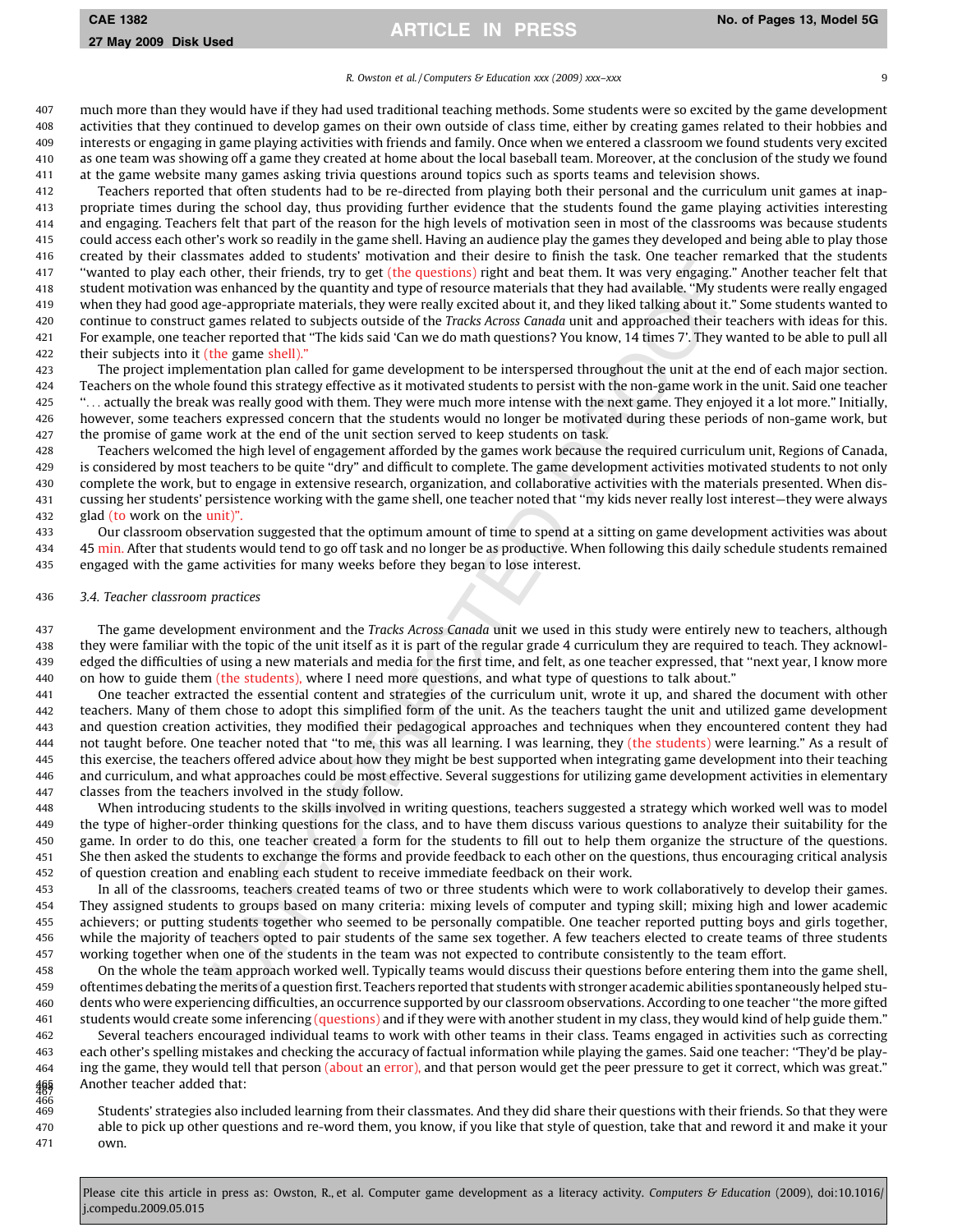### R. Owston et al./ Computers & Education xxx (2009) xxx-xxx

 much more than they would have if they had used traditional teaching methods. Some students were so excited by the game development activities that they continued to develop games on their own outside of class time, either by creating games related to their hobbies and interests or engaging in game playing activities with friends and family. Once when we entered a classroom we found students very excited as one team was showing off a game they created at home about the local baseball team. Moreover, at the conclusion of the study we found at the game website many games asking trivia questions around topics such as sports teams and television shows.

 Teachers reported that often students had to be re-directed from playing both their personal and the curriculum unit games at inap- propriate times during the school day, thus providing further evidence that the students found the game playing activities interesting and engaging. Teachers felt that part of the reason for the high levels of motivation seen in most of the classrooms was because students could access each other's work so readily in the game shell. Having an audience play the games they developed and being able to play those created by their classmates added to students' motivation and their desire to finish the task. One teacher remarked that the students 417 "wanted to play each other, their friends, try to get (the questions) right and beat them. It was very engaging." Another teacher felt that student motivation was enhanced by the quantity and type of resource materials that they had available. ''My students were really engaged when they had good age-appropriate materials, they were really excited about it, and they liked talking about it." Some students wanted to 420 continue to construct games related to subjects outside of the Tracks Across Canada unit and approached their teachers with ideas for this. For example, one teacher reported that ''The kids said 'Can we do math questions? You know, 14 times 7'. They wanted to be able to pull all 422 their subjects into it (the game shell)."

 The project implementation plan called for game development to be interspersed throughout the unit at the end of each major section. Teachers on the whole found this strategy effective as it motivated students to persist with the non-game work in the unit. Said one teacher 425 "... actually the break was really good with them. They were much more intense with the next game. They enjoyed it a lot more." Initially, however, some teachers expressed concern that the students would no longer be motivated during these periods of non-game work, but the promise of game work at the end of the unit section served to keep students on task.

 Teachers welcomed the high level of engagement afforded by the games work because the required curriculum unit, Regions of Canada, is considered by most teachers to be quite ''dry" and difficult to complete. The game development activities motivated students to not only complete the work, but to engage in extensive research, organization, and collaborative activities with the materials presented. When dis- cussing her students' persistence working with the game shell, one teacher noted that ''my kids never really lost interest—they were always glad (to work on the unit)".

 Our classroom observation suggested that the optimum amount of time to spend at a sitting on game development activities was about 434 45 min. After that students would tend to go off task and no longer be as productive. When following this daily schedule students remained engaged with the game activities for many weeks before they began to lose interest.

## 3.4. Teacher classroom practices

437 The game development environment and the Tracks Across Canada unit we used in this study were entirely new to teachers, although they were familiar with the topic of the unit itself as it is part of the regular grade 4 curriculum they are required to teach. They acknowl- edged the difficulties of using a new materials and media for the first time, and felt, as one teacher expressed, that ''next year, I know more on how to guide them (the students), where I need more questions, and what type of questions to talk about."

onder their friends, ty to get the outer one and beat them. It was very engaging<br>onder their freeds, ty, to get the outer state and beat them. It was very engaging<br>is somhanced by the quantity and type of resource material One teacher extracted the essential content and strategies of the curriculum unit, wrote it up, and shared the document with other teachers. Many of them chose to adopt this simplified form of the unit. As the teachers taught the unit and utilized game development and question creation activities, they modified their pedagogical approaches and techniques when they encountered content they had not taught before. One teacher noted that ''to me, this was all learning. I was learning, they (the students) were learning." As a result of this exercise, the teachers offered advice about how they might be best supported when integrating game development into their teaching and curriculum, and what approaches could be most effective. Several suggestions for utilizing game development activities in elementary classes from the teachers involved in the study follow.

 When introducing students to the skills involved in writing questions, teachers suggested a strategy which worked well was to model the type of higher-order thinking questions for the class, and to have them discuss various questions to analyze their suitability for the game. In order to do this, one teacher created a form for the students to fill out to help them organize the structure of the questions. She then asked the students to exchange the forms and provide feedback to each other on the questions, thus encouraging critical analysis of question creation and enabling each student to receive immediate feedback on their work.

 In all of the classrooms, teachers created teams of two or three students which were to work collaboratively to develop their games. They assigned students to groups based on many criteria: mixing levels of computer and typing skill; mixing high and lower academic achievers; or putting students together who seemed to be personally compatible. One teacher reported putting boys and girls together, while the majority of teachers opted to pair students of the same sex together. A few teachers elected to create teams of three students working together when one of the students in the team was not expected to contribute consistently to the team effort.

 On the whole the team approach worked well. Typically teams would discuss their questions before entering them into the game shell, oftentimes debating the merits of a question first. Teachers reported that students with stronger academic abilities spontaneously helped stu- dents who were experiencing difficulties, an occurrence supported by our classroom observations. According to one teacher ''the more gifted 461 students would create some inferencing (questions) and if they were with another student in my class, they would kind of help guide them."

 Several teachers encouraged individual teams to work with other teams in their class. Teams engaged in activities such as correcting each other's spelling mistakes and checking the accuracy of factual information while playing the games. Said one teacher: ''They'd be play-464 ing the game, they would tell that person (about an error), and that person would get the peer pressure to get it correct, which was great." Another teacher added that: <sup>468</sup>

466<br>469 Students' strategies also included learning from their classmates. And they did share their questions with their friends. So that they were able to pick up other questions and re-word them, you know, if you like that style of question, take that and reword it and make it your own.

Please cite this article in press as: Owston, R., et al. Computer game development as a literacy activity. Computers & Education (2009), doi:10.1016/ j.compedu.2009.05.015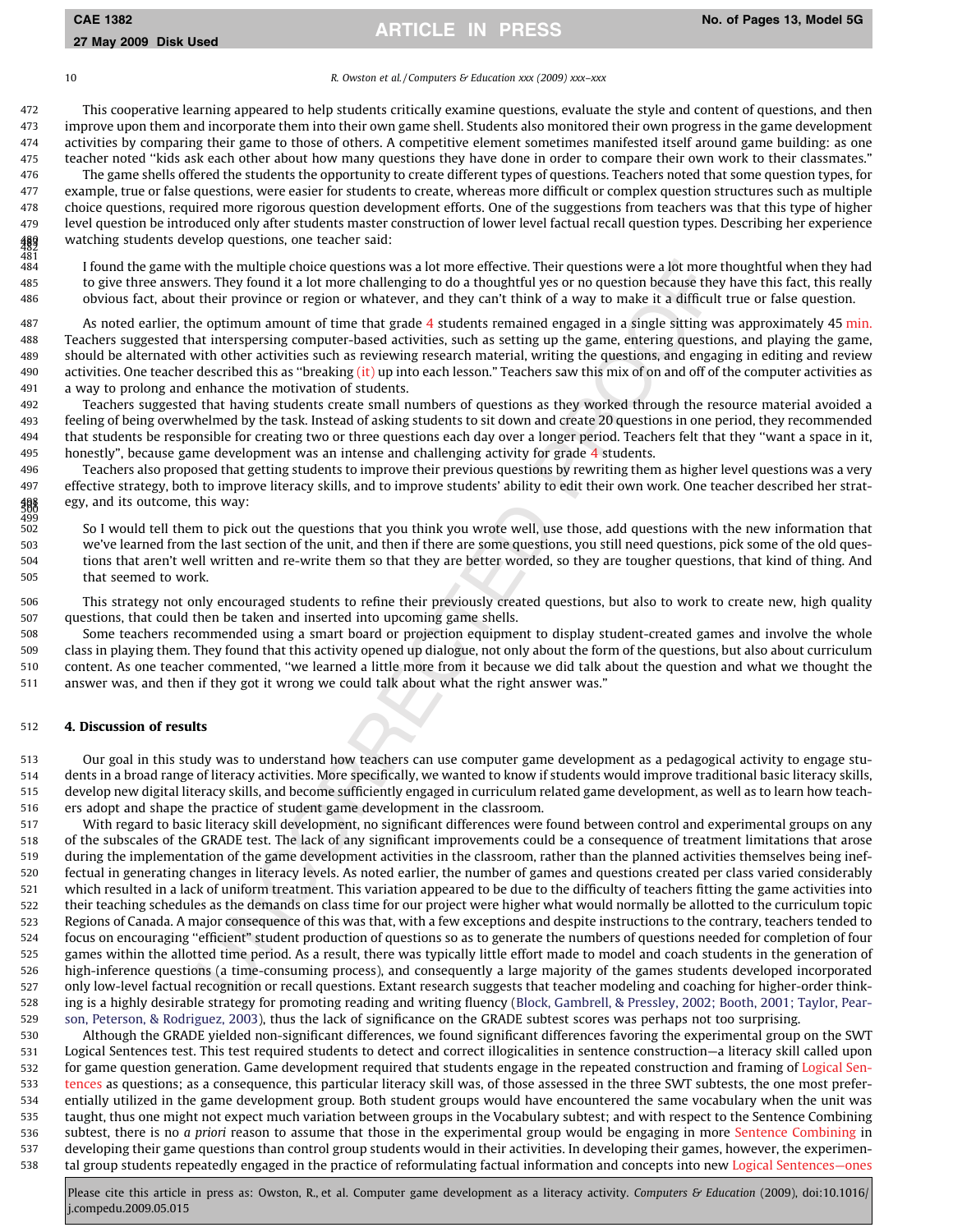### 10 R. Owston et al. / Computers & Education xxx (2009) xxx–xxx

 This cooperative learning appeared to help students critically examine questions, evaluate the style and content of questions, and then improve upon them and incorporate them into their own game shell. Students also monitored their own progress in the game development activities by comparing their game to those of others. A competitive element sometimes manifested itself around game building: as one teacher noted ''kids ask each other about how many questions they have done in order to compare their own work to their classmates." The game shells offered the students the opportunity to create different types of questions. Teachers noted that some question types, for example, true or false questions, were easier for students to create, whereas more difficult or complex question structures such as multiple choice questions, required more rigorous question development efforts. One of the suggestions from teachers was that this type of higher level question be introduced only after students master construction of lower level factual recall question types. Describing her experience watching students develop questions, one teacher said: <sup>483</sup>

 I found the game with the multiple choice questions was a lot more effective. Their questions were a lot more thoughtful when they had to give three answers. They found it a lot more challenging to do a thoughtful yes or no question because they have this fact, this really obvious fact, about their province or region or whatever, and they can't think of a way to make it a difficult true or false question.

487 As noted earlier, the optimum amount of time that grade 4 students remained engaged in a single sitting was approximately 45 min. Teachers suggested that interspersing computer-based activities, such as setting up the game, entering questions, and playing the game, should be alternated with other activities such as reviewing research material, writing the questions, and engaging in editing and review 490 activities. One teacher described this as "breaking  $(it)$  up into each lesson." Teachers saw this mix of on and off of the computer activities as a way to prolong and enhance the motivation of students.

 Teachers suggested that having students create small numbers of questions as they worked through the resource material avoided a feeling of being overwhelmed by the task. Instead of asking students to sit down and create 20 questions in one period, they recommended that students be responsible for creating two or three questions each day over a longer period. Teachers felt that they ''want a space in it, 495 honestly", because game development was an intense and challenging activity for grade 4 students.

 Teachers also proposed that getting students to improve their previous questions by rewriting them as higher level questions was a very effective strategy, both to improve literacy skills, and to improve students' ability to edit their own work. One teacher described her strategy, and its outcome, this way: 

499<br>502 So I would tell them to pick out the questions that you think you wrote well, use those, add questions with the new information that we've learned from the last section of the unit, and then if there are some questions, you still need questions, pick some of the old ques- tions that aren't well written and re-write them so that they are better worded, so they are tougher questions, that kind of thing. And that seemed to work.

 This strategy not only encouraged students to refine their previously created questions, but also to work to create new, high quality questions, that could then be taken and inserted into upcoming game shells.

 Some teachers recommended using a smart board or projection equipment to display student-created games and involve the whole class in playing them. They found that this activity opened up dialogue, not only about the form of the questions, but also about curriculum content. As one teacher commented, ''we learned a little more from it because we did talk about the question and what we thought the answer was, and then if they got it wrong we could talk about what the right answer was."

# 4. Discussion of results

 Our goal in this study was to understand how teachers can use computer game development as a pedagogical activity to engage stu- dents in a broad range of literacy activities. More specifically, we wanted to know if students would improve traditional basic literacy skills, develop new digital literacy skills, and become sufficiently engaged in curriculum related game development, as well as to learn how teach-ers adopt and shape the practice of student game development in the classroom.

ish the multiple choice questions was a lot more effective. Their questions were a lot more the meaning that the meaning into the acts with the province or region or whatever, and they can think of a way to make it a diffi With regard to basic literacy skill development, no significant differences were found between control and experimental groups on any of the subscales of the GRADE test. The lack of any significant improvements could be a consequence of treatment limitations that arose during the implementation of the game development activities in the classroom, rather than the planned activities themselves being inef- fectual in generating changes in literacy levels. As noted earlier, the number of games and questions created per class varied considerably which resulted in a lack of uniform treatment. This variation appeared to be due to the difficulty of teachers fitting the game activities into their teaching schedules as the demands on class time for our project were higher what would normally be allotted to the curriculum topic Regions of Canada. A major consequence of this was that, with a few exceptions and despite instructions to the contrary, teachers tended to focus on encouraging ''efficient" student production of questions so as to generate the numbers of questions needed for completion of four games within the allotted time period. As a result, there was typically little effort made to model and coach students in the generation of high-inference questions (a time-consuming process), and consequently a large majority of the games students developed incorporated only low-level factual recognition or recall questions. Extant research suggests that teacher modeling and coaching for higher-order think- ing is a highly desirable strategy for promoting reading and writing fluency (Block, Gambrell, & Pressley, 2002; Booth, 2001; Taylor, Pear-son, Peterson, & Rodriguez, 2003), thus the lack of significance on the GRADE subtest scores was perhaps not too surprising.

 Although the GRADE yielded non-significant differences, we found significant differences favoring the experimental group on the SWT Logical Sentences test. This test required students to detect and correct illogicalities in sentence construction—a literacy skill called upon for game question generation. Game development required that students engage in the repeated construction and framing of Logical Sen-533 tences as questions; as a consequence, this particular literacy skill was, of those assessed in the three SWT subtests, the one most prefer- entially utilized in the game development group. Both student groups would have encountered the same vocabulary when the unit was taught, thus one might not expect much variation between groups in the Vocabulary subtest; and with respect to the Sentence Combining 536 subtest, there is no a priori reason to assume that those in the experimental group would be engaging in more Sentence Combining in developing their game questions than control group students would in their activities. In developing their games, however, the experimen-tal group students repeatedly engaged in the practice of reformulating factual information and concepts into new Logical Sentences—ones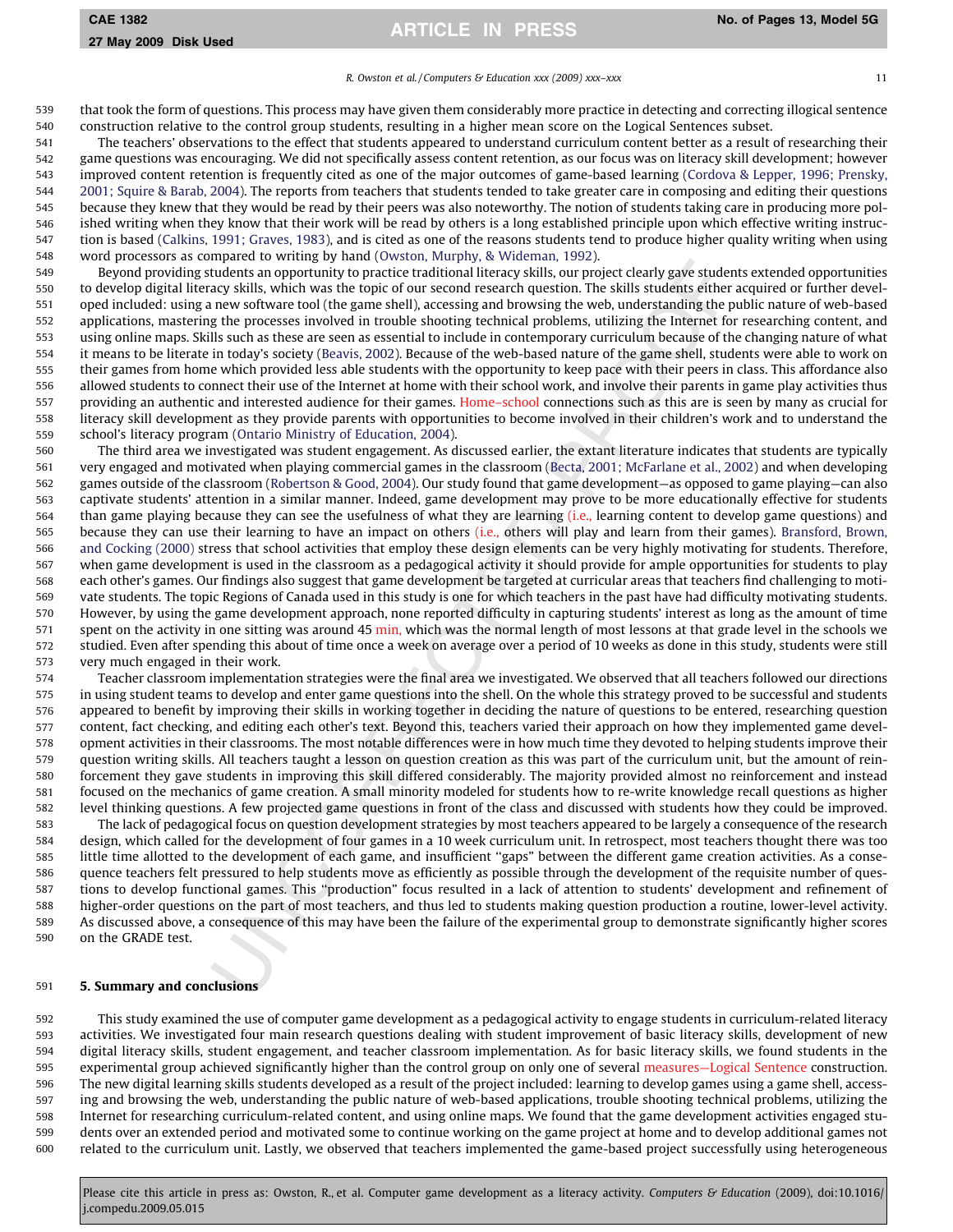### R. Owston et al. / Computers & Education xxx (2009) xxx–xxx 11

 that took the form of questions. This process may have given them considerably more practice in detecting and correcting illogical sentence construction relative to the control group students, resulting in a higher mean score on the Logical Sentences subset.

 The teachers' observations to the effect that students appeared to understand curriculum content better as a result of researching their game questions was encouraging. We did not specifically assess content retention, as our focus was on literacy skill development; however improved content retention is frequently cited as one of the major outcomes of game-based learning (Cordova & Lepper, 1996; Prensky, 2001; Squire & Barab, 2004). The reports from teachers that students tended to take greater care in composing and editing their questions because they knew that they would be read by their peers was also noteworthy. The notion of students taking care in producing more pol- ished writing when they know that their work will be read by others is a long established principle upon which effective writing instruc- tion is based (Calkins, 1991; Graves, 1983), and is cited as one of the reasons students tend to produce higher quality writing when using word processors as compared to writing by hand (Owston, Murphy, & Wideman, 1992).

 Beyond providing students an opportunity to practice traditional literacy skills, our project clearly gave students extended opportunities to develop digital literacy skills, which was the topic of our second research question. The skills students either acquired or further devel- oped included: using a new software tool (the game shell), accessing and browsing the web, understanding the public nature of web-based applications, mastering the processes involved in trouble shooting technical problems, utilizing the Internet for researching content, and using online maps. Skills such as these are seen as essential to include in contemporary curriculum because of the changing nature of what it means to be literate in today's society (Beavis, 2002). Because of the web-based nature of the game shell, students were able to work on their games from home which provided less able students with the opportunity to keep pace with their peers in class. This affordance also allowed students to connect their use of the Internet at home with their school work, and involve their parents in game play activities thus 557 providing an authentic and interested audience for their games. Home–school connections such as this are is seen by many as crucial for literacy skill development as they provide parents with opportunities to become involved in their children's work and to understand the school's literacy program (Ontario Ministry of Education, 2004).

multers an opportunity to practice traditional literary skills, our project clearly gave students and a project studients and by a project clearly gave students and a by a proportunity to provide traditional literacy still The third area we investigated was student engagement. As discussed earlier, the extant literature indicates that students are typically very engaged and motivated when playing commercial games in the classroom (Becta, 2001; McFarlane et al., 2002) and when developing games outside of the classroom (Robertson & Good, 2004). Our study found that game development—as opposed to game playing—can also captivate students' attention in a similar manner. Indeed, game development may prove to be more educationally effective for students than game playing because they can see the usefulness of what they are learning (i.e., learning content to develop game questions) and 565 because they can use their learning to have an impact on others (i.e., others will play and learn from their games). Bransford, Brown, and Cocking (2000) stress that school activities that employ these design elements can be very highly motivating for students. Therefore, when game development is used in the classroom as a pedagogical activity it should provide for ample opportunities for students to play each other's games. Our findings also suggest that game development be targeted at curricular areas that teachers find challenging to moti- vate students. The topic Regions of Canada used in this study is one for which teachers in the past have had difficulty motivating students. However, by using the game development approach, none reported difficulty in capturing students' interest as long as the amount of time 571 spent on the activity in one sitting was around 45 min, which was the normal length of most lessons at that grade level in the schools we studied. Even after spending this about of time once a week on average over a period of 10 weeks as done in this study, students were still very much engaged in their work.

 Teacher classroom implementation strategies were the final area we investigated. We observed that all teachers followed our directions in using student teams to develop and enter game questions into the shell. On the whole this strategy proved to be successful and students appeared to benefit by improving their skills in working together in deciding the nature of questions to be entered, researching question content, fact checking, and editing each other's text. Beyond this, teachers varied their approach on how they implemented game devel- opment activities in their classrooms. The most notable differences were in how much time they devoted to helping students improve their question writing skills. All teachers taught a lesson on question creation as this was part of the curriculum unit, but the amount of rein- forcement they gave students in improving this skill differed considerably. The majority provided almost no reinforcement and instead focused on the mechanics of game creation. A small minority modeled for students how to re-write knowledge recall questions as higher level thinking questions. A few projected game questions in front of the class and discussed with students how they could be improved.

 The lack of pedagogical focus on question development strategies by most teachers appeared to be largely a consequence of the research design, which called for the development of four games in a 10 week curriculum unit. In retrospect, most teachers thought there was too little time allotted to the development of each game, and insufficient ''gaps" between the different game creation activities. As a conse- quence teachers felt pressured to help students move as efficiently as possible through the development of the requisite number of ques- tions to develop functional games. This ''production" focus resulted in a lack of attention to students' development and refinement of higher-order questions on the part of most teachers, and thus led to students making question production a routine, lower-level activity. As discussed above, a consequence of this may have been the failure of the experimental group to demonstrate significantly higher scores on the GRADE test.

## 5. Summary and conclusions

 This study examined the use of computer game development as a pedagogical activity to engage students in curriculum-related literacy activities. We investigated four main research questions dealing with student improvement of basic literacy skills, development of new digital literacy skills, student engagement, and teacher classroom implementation. As for basic literacy skills, we found students in the 595 experimental group achieved significantly higher than the control group on only one of several measures-Logical Sentence construction. The new digital learning skills students developed as a result of the project included: learning to develop games using a game shell, access- ing and browsing the web, understanding the public nature of web-based applications, trouble shooting technical problems, utilizing the Internet for researching curriculum-related content, and using online maps. We found that the game development activities engaged stu- dents over an extended period and motivated some to continue working on the game project at home and to develop additional games not related to the curriculum unit. Lastly, we observed that teachers implemented the game-based project successfully using heterogeneous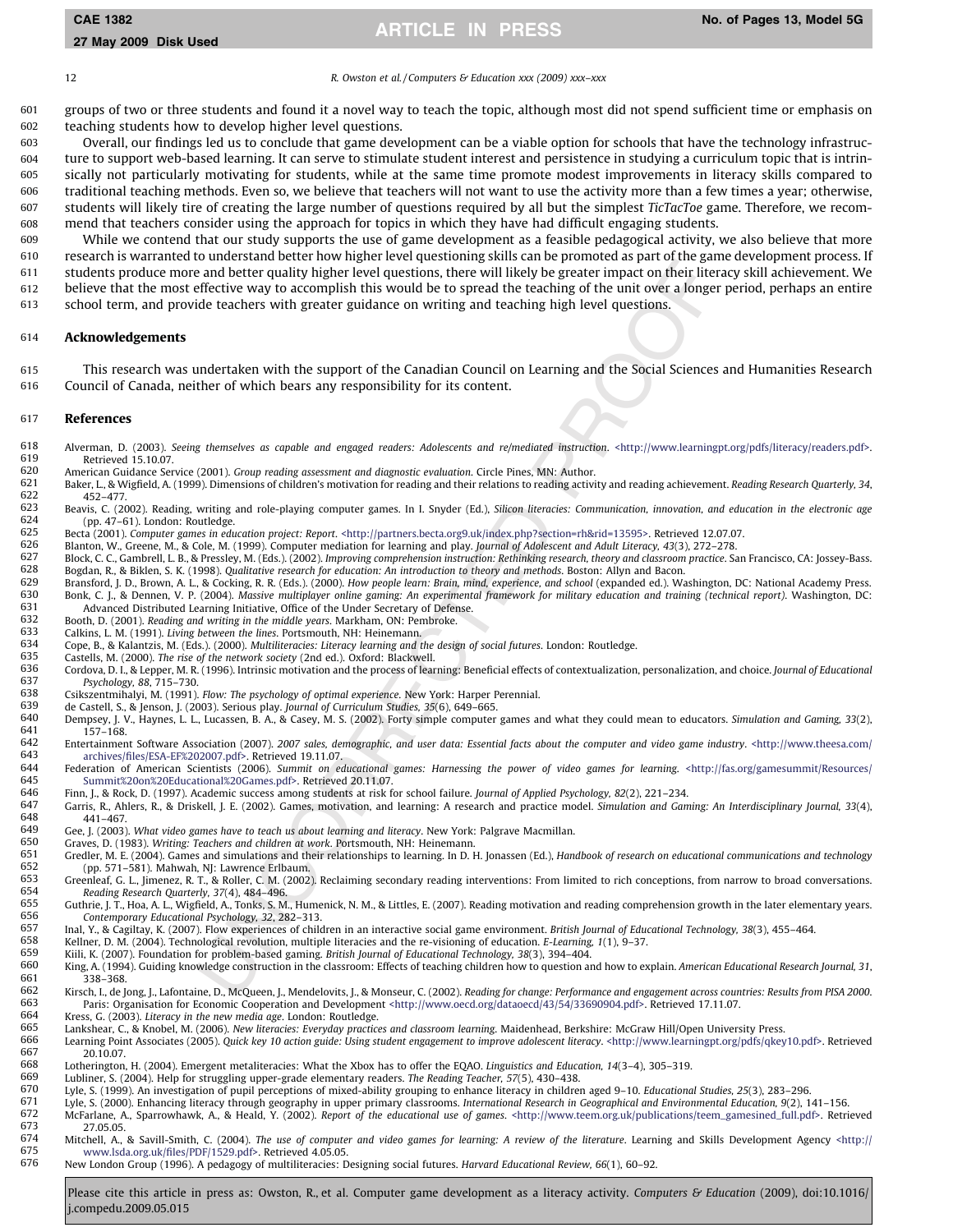12 R. Owston et al. / Computers & Education xxx (2009) xxx–xxx

601 groups of two or three students and found it a novel way to teach the topic, although most did not spend sufficient time or emphasis on 602 teaching students how to develop higher level questions.

 Overall, our findings led us to conclude that game development can be a viable option for schools that have the technology infrastruc- ture to support web-based learning. It can serve to stimulate student interest and persistence in studying a curriculum topic that is intrin- sically not particularly motivating for students, while at the same time promote modest improvements in literacy skills compared to traditional teaching methods. Even so, we believe that teachers will not want to use the activity more than a few times a year; otherwise, 607 students will likely tire of creating the large number of questions required by all but the simplest TicTacToe game. Therefore, we recom-mend that teachers consider using the approach for topics in which they have had difficult engaging students.

and better quality higher level to the summar sheet of the lines of the summar sheet of the summar sheet of the summar sheet of the summar sheet of the summar sheet of the summar sheet of the summar sheet of the summar sh While we contend that our study supports the use of game development as a feasible pedagogical activity, we also believe that more research is warranted to understand better how higher level questioning skills can be promoted as part of the game development process. If students produce more and better quality higher level questions, there will likely be greater impact on their literacy skill achievement. We believe that the most effective way to accomplish this would be to spread the teaching of the unit over a longer period, perhaps an entire school term, and provide teachers with greater guidance on writing and teaching high level questions.

## 614 Acknowledgements

615 This research was undertaken with the support of the Canadian Council on Learning and the Social Sciences and Humanities Research 616 Council of Canada, neither of which bears any responsibility for its content.

### 617 References

- 618 Alverman, D. (2003). Seeing themselves as capable and engaged readers: Adolescents and re/mediated instruction. <http://www.learningpt.org/pdfs/literacy/readers.pdf>. 619 Retrieved 15.10.07.<br>620 American Guidance Ser
- 620 American Guidance Service (2001). Group reading assessment and diagnostic evaluation. Circle Pines, MN: Author.
- 621 Baker, L., & Wigfield, A. (1999). Dimensions of children's motivation for reading and their relations to reading activity and reading achievement. Reading Research Quarterly, 34, 622 452-477.<br>623 Beavis C (20
- 623 Beavis, C. (2002). Reading, writing and role-playing computer games. In I. Snyder (Ed.), Silicon literacies: Communication, innovation, and education in the electronic age<br>624 (pp. 47-61) London: Routledge 624 (pp. 47–61). London: Routledge.<br>625 Becta (2001). Computer games in edu
- 625 Becta (2001). Computer games in education project: Report. <http://partners.becta.org9.uk/index.php?section=rh&rid=13595>. Retrieved 12.07.07.
- 626 Blanton, W., Greene, M., & Cole, M. (1999). Computer mediation for learning and play. Journal of Adolescent and Adult Literacy, 43(3), 272-278.<br>627 Block, C. C., Gambrell, L. B., & Pressley, M. (Eds.). (2002). Improvin
- 627 Block, C. C., Gambrell, L. B., & Pressley, M. (Eds.). (2002). Improving comprehension instruction: Rethinking research, theory and classroom practice. San Francisco, CA: Jossey-Bass.<br>628 Bogdan R. & Biklen S. K. (1998) 628 Bogdan, R., & Biklen, S. K. (1998). Qualitative research for education: An introduction to theory and methods. Boston: Allyn and Bacon.<br>629 Bransford J. D. Brown A. J. & Cocking R. R. (Eds.) (2000). How people learn:
- 629 Bransford, J. D., Brown, A. L., & Cocking, R. R. (Eds.). (2000). How people learn: Brain, mind, experience, and school (expanded ed.). Washington, DC: National Academy Press.<br>630 Bonk. C. L. & Dennen. V. P. (2004). Mas 630 Bonk, C. J., & Dennen, V. P. (2004). Massive multiplayer online gaming: An experimental framework for military education and training (technical report). Washington, DC:<br>631 Advanced Distributed Learning Initiative, Of
- 631 Advanced Distributed Learning Initiative, Office of the Under Secretary of Defense.<br>632 Booth, D. (2001). Reading and writing in the middle vears. Markham. ON: Pembroke.
- 632 Booth, D. (2001). Reading and writing in the middle years. Markham, ON: Pembroke.<br>633 Calkins J. M. (1991). Living hetween the lines Portsmouth, NH: Heinemann
- 633 Calkins, L. M. (1991). Living between the lines. Portsmouth, NH: Heinemann.<br>634 Cope, B., & Kalantzis, M. (Eds.). (2000). Multiliteracies: Literacy learning and t
- 634 Cope, B., & Kalantzis, M. (Eds.). (2000). Multiliteracies: Literacy learning and the design of social futures. London: Routledge.<br>635 Castells, M. (2000). The rise of the network society (2nd ed.). Oxford: Blackwell
- 635 Castells, M. (2000). The rise of the network society (2nd ed.). Oxford: Blackwell.<br>636 Cordova, D. I., & Lepper, M. R. (1996). Intrinsic motivation and the process of lear
- 636 Cordova, D. I., & Lepper, M. R. (1996). Intrinsic motivation and the process of learning: Beneficial effects of contextualization, personalization, and choice. Journal of Educational 637 Psychology. 88. 715-730. 637 Psychology, 88, 715–730.
- 638 Csikszentmihalyi, M. (1991). Flow: The psychology of optimal experience. New York: Harper Perennial.<br>639 de Castell. S., & Jenson, J. (2003). Serious play, Journal of Curriculum Studies, 35(6), 649–665.
- 639 de Castell, S., & Jenson, J. (2003). Serious play. Journal of Curriculum Studies, 35(6), 649–665.
- 640 Dempsey, J. V., Haynes, L. L., Lucassen, B. A., & Casey, M. S. (2002). Forty simple computer games and what they could mean to educators. Simulation and Gaming, 33(2), 641 157-168. 641 157–168.
- 642 Entertainment Software Association (2007). 2007 sales, demographic, and user data: Essential facts about the computer and video game industry. <http://www.theesa.com/ 643 archives/files/ESA-EF%202007.pdf>. Retrieved 19.11.07.<br>644 Federation of American Scientists (2006) Summit on eq
- 644 Federation of American Scientists (2006). Summit on educational games: Harnessing the power of video games for learning. <http://fas.org/gamesummit/Resources/ 645 Summit%20on%20Educational%20Games.pdf>. Retrieved 20.11.07.
	-
- 646 Finn, J., & Rock, D. (1997). Academic success among students at risk for school failure. Journal of Applied Psychology, 82(2), 221–234. 647<br>647 Garris, R., Ahlers, R., & Driskell, J. E. (2002). Games, motivation, and l 647 Garris, R., Ahlers, R., & Driskell, J. E. (2002). Games, motivation, and learning: A research and practice model. Simulation and Gaming: An Interdisciplinary Journal, 33(4), 648 441–467 648 441-467.<br>649 Gee L (2003)
- 649 Gee, J. (2003). What video games have to teach us about learning and literacy. New York: Palgrave Macmillan.<br>650 Graves D. (1983). Writing: Teachers and children at work Portsmouth NH: Heinemann
- 650 Graves, D. (1983). Writing: Teachers and children at work. Portsmouth, NH: Heinemann.
- 651 Gredler, M. E. (2004). Games and simulations and their relationships to learning. In D. H. Jonassen (Ed.), Handbook of research on educational communications and technology<br>652 (np. 571–581) Mahwah NI: Lawrence Erlbaum 652 (pp. 571–581). Mahwah, NJ: Lawrence Erlbaum.
- 653 Greenleaf, G. L., Jimenez, R. T., & Roller, C. M. (2002). Reclaiming secondary reading interventions: From limited to rich conceptions, from narrow to broad conversations.<br>654 Reading Research Quarterly 37(4) 484-496 654 Reading Research Quarterly, 37(4), 484–496.
- 655 Guthrie, J. T., Hoa, A. L., Wigfield, A., Tonks, S. M., Humenick, N. M., & Littles, E. (2007). Reading motivation and reading comprehension growth in the later elementary years.<br>656 Contemporary Educational Psychology 656 Contemporary Educational Psychology, 32, 282–313.
- 657 Inal, Y., & Cagiltay, K. (2007). Flow experiences of children in an interactive social game environment. British Journal of Educational Technology, 38(3), 455–464.<br>658 Kellner D. M. (2004) Technological revolution mul
- 658 Kellner, D. M. (2004). Technological revolution, multiple literacies and the re-visioning of education. *E-Learning, 1*(1), 9–37.<br>659 Kijli K (2007). Foundation for problem-based gaming *British Journal of Educational*
- 659 Kiili, K. (2007). Foundation for problem-based gaming. British Journal of Educational Technology, 38(3), 394–404.<br>660 King A. (1994). Guiding knowledge construction in the classroom: Effects of teaching children how t
- 660 King, A. (1994). Guiding knowledge construction in the classroom: Effects of teaching children how to question and how to explain. American Educational Research Journal, 31, 661 338-368.<br>662 Kirsch I de I
- 662 Kirsch, I., de Jong, J., Lafontaine, D., McQueen, J., Mendelovits, J., & Monseur, C. (2002). Reading for change: Performance and engagement across countries: Results from PISA 2000. 663 Paris: Organisation for Economic Cooperation and Development <http://www.oecd.org/dataoecd/43/54/33690904.pdf>. Retrieved 17.11.07.<br>664 Kress G. (2003) Literacy in the new media age London: Routledge
- 664 Kress, G. (2003). Literacy in the new media age. London: Routledge.<br>665 Lankshear C. & Knobel M. (2006). New literacies: Everyday practice
- 665 Lankshear, C., & Knobel, M. (2006). New literacies: Everyday practices and classroom learning. Maidenhead, Berkshire: McGraw Hill/Open University Press. 666 Learning Point Associates (2005). Quick key 10 action guide: Using student engagement to improve adolescent literacy. <http://www.learningpt.org/pdfs/qkey10.pdf>. Retrieved 667 20.10.07.<br>668 Lotherington
- 668 Lotherington, H. (2004). Emergent metaliteracies: What the Xbox has to offer the EQAO. Linguistics and Education, 14(3–4), 305–319.
- 669 Lubliner, S. (2004). Help for struggling upper-grade elementary readers. The Reading Teacher, 57(5), 430–438.
- 670 Lyle, S. (1999). An investigation of pupil perceptions of mixed-ability grouping to enhance literacy in children aged 9–10. Educational Studies, 25(3), 283–296.<br>671 Lyle S. (2000). Enhancing literacy through geography
- 671 Lyle, S. (2000). Enhancing literacy through geography in upper primary classrooms. International Research in Geographical and Environmental Education, 9(2), 141–156.<br>672 McEarlane A. Sparrowhawk A. & Heald Y. (2002).
- 672 McFarlane, A., Sparrowhawk, A., & Heald, Y. (2002). Report of the educational use of games. <http://www.teem.org.uk/publications/teem\_gamesined\_full.pdf>. Retrieved 673 27.05.05.
- 674 Mitchell, A., & Savill-Smith, C. (2004). The use of computer and video games for learning: A review of the literature. Learning and Skills Development Agency <http://<br>675 www.lsda.org.uk/files/PDF/1529.ndf> Retrieved 675 www.lsda.org.uk/files/PDF/1529.pdf>. Retrieved 4.05.05.
	- New London Group (1996). A pedagogy of multiliteracies: Designing social futures. Harvard Educational Review, 66(1), 60-92.